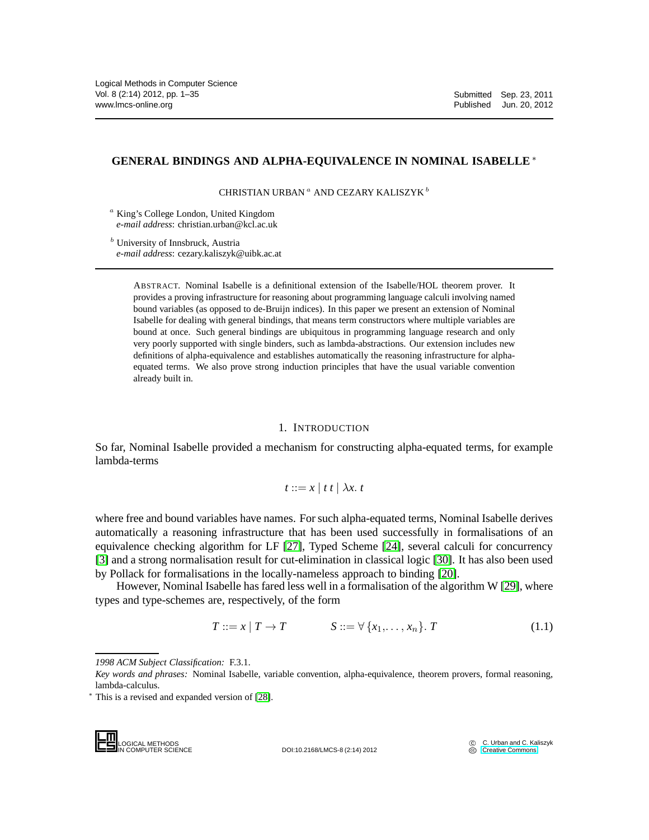# **GENERAL BINDINGS AND ALPHA-EQUIVALENCE IN NOMINAL ISABELLE** ∗

CHRISTIAN URBAN $^a$ AND CEZARY KALISZYK $^b$ 

<sup>a</sup> King's College London, United Kingdom *e-mail address*: christian.urban@kcl.ac.uk

<sup>b</sup> University of Innsbruck, Austria *e-mail address*: cezary.kaliszyk@uibk.ac.at

> ABSTRACT. Nominal Isabelle is a definitional extension of the Isabelle/HOL theorem prover. It provides a proving infrastructure for reasoning about programming language calculi involving named bound variables (as opposed to de-Bruijn indices). In this paper we present an extension of Nominal Isabelle for dealing with general bindings, that means term constructors where multiple variables are bound at once. Such general bindings are ubiquitous in programming language research and only very poorly supported with single binders, such as lambda-abstractions. Our extension includes new definitions of alpha-equivalence and establishes automatically the reasoning infrastructure for alphaequated terms. We also prove strong induction principles that have the usual variable convention already built in.

#### 1. INTRODUCTION

So far, Nominal Isabelle provided a mechanism for constructing alpha-equated terms, for example lambda-terms

$$
t ::= x \mid t \mid \lambda x. t
$$

where free and bound variables have names. For such alpha-equated terms, Nominal Isabelle derives automatically a reasoning infrastructure that has been used successfully in formalisations of an equivalence checking algorithm for LF [\[27\]](#page-34-0), Typed Scheme [\[24\]](#page-34-1), several calculi for concurrency [\[3\]](#page-33-0) and a strong normalisation result for cut-elimination in classical logic [\[30\]](#page-34-2). It has also been used by Pollack for formalisations in the locally-nameless approach to binding [\[20\]](#page-34-3).

However, Nominal Isabelle has fared less well in a formalisation of the algorithm W [\[29\]](#page-34-4), where types and type-schemes are, respectively, of the form

$$
T ::= x | T \to T \qquad S ::= \forall \{x_1, \dots, x_n\}. T \qquad (1.1)
$$

LOGICAL METHODS<br>IN COMPUTER SCIENCE

DOI:10.2168/LMCS-8 (2:14) 2012

*<sup>1998</sup> ACM Subject Classification:* F.3.1.

*Key words and phrases:* Nominal Isabelle, variable convention, alpha-equivalence, theorem provers, formal reasoning, lambda-calculus.

<sup>∗</sup> This is a revised and expanded version of [\[28\]](#page-34-5).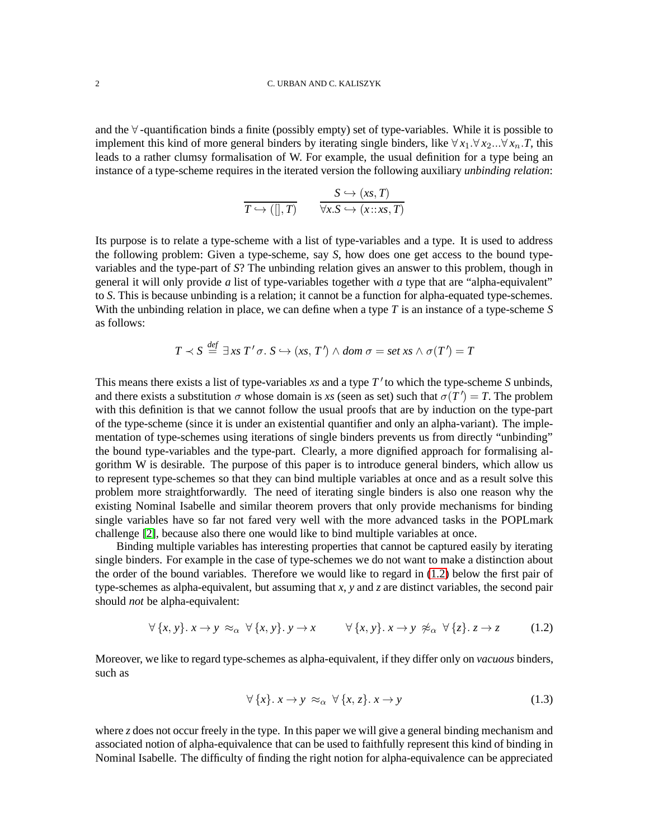and the ∀ -quantification binds a finite (possibly empty) set of type-variables. While it is possible to implement this kind of more general binders by iterating single binders, like  $\forall x_1.\forall x_2...\forall x_n$ .*T*, this leads to a rather clumsy formalisation of W. For example, the usual definition for a type being an instance of a type-scheme requires in the iterated version the following auxiliary *unbinding relation*:

$$
\overline{T \hookrightarrow ([], T)} \qquad \frac{S \hookrightarrow (xs, T)}{\forall x. S \hookrightarrow (x::xs, T)}
$$

Its purpose is to relate a type-scheme with a list of type-variables and a type. It is used to address the following problem: Given a type-scheme, say *S*, how does one get access to the bound typevariables and the type-part of *S*? The unbinding relation gives an answer to this problem, though in general it will only provide *a* list of type-variables together with *a* type that are "alpha-equivalent" to *S*. This is because unbinding is a relation; it cannot be a function for alpha-equated type-schemes. With the unbinding relation in place, we can define when a type *T* is an instance of a type-scheme *S* as follows:

$$
T \prec S \stackrel{def}{=} \exists x s \; T' \sigma. \; S \hookrightarrow (xs, T') \wedge dom \; \sigma = set \; xs \wedge \sigma(T') = T
$$

*def*

This means there exists a list of type-variables *xs* and a type *T* ′ to which the type-scheme *S* unbinds, and there exists a substitution  $\sigma$  whose domain is *xs* (seen as set) such that  $\sigma(T') = T$ . The problem with this definition is that we cannot follow the usual proofs that are by induction on the type-part of the type-scheme (since it is under an existential quantifier and only an alpha-variant). The implementation of type-schemes using iterations of single binders prevents us from directly "unbinding" the bound type-variables and the type-part. Clearly, a more dignified approach for formalising algorithm W is desirable. The purpose of this paper is to introduce general binders, which allow us to represent type-schemes so that they can bind multiple variables at once and as a result solve this problem more straightforwardly. The need of iterating single binders is also one reason why the existing Nominal Isabelle and similar theorem provers that only provide mechanisms for binding single variables have so far not fared very well with the more advanced tasks in the POPLmark challenge [\[2\]](#page-33-1), because also there one would like to bind multiple variables at once.

Binding multiple variables has interesting properties that cannot be captured easily by iterating single binders. For example in the case of type-schemes we do not want to make a distinction about the order of the bound variables. Therefore we would like to regard in [\(1.2\)](#page-1-0) below the first pair of type-schemes as alpha-equivalent, but assuming that *x*, *y* and *z* are distinct variables, the second pair should *not* be alpha-equivalent:

<span id="page-1-0"></span>
$$
\forall \{x, y\}.\ x \to y \approx_{\alpha} \forall \{x, y\}.\ y \to x \qquad \forall \{x, y\}.\ x \to y \not\approx_{\alpha} \forall \{z\}.\ z \to z \tag{1.2}
$$

Moreover, we like to regard type-schemes as alpha-equivalent, if they differ only on *vacuous* binders, such as

<span id="page-1-1"></span>
$$
\forall \{x\}. \ x \to y \ \approx_{\alpha} \ \forall \{x, z\}. \ x \to y \tag{1.3}
$$

where *z* does not occur freely in the type. In this paper we will give a general binding mechanism and associated notion of alpha-equivalence that can be used to faithfully represent this kind of binding in Nominal Isabelle. The difficulty of finding the right notion for alpha-equivalence can be appreciated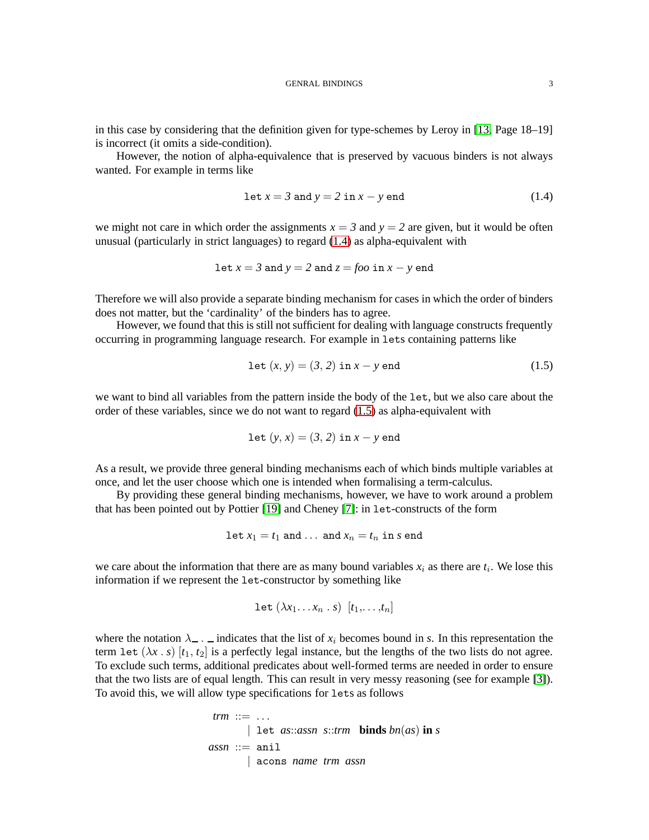in this case by considering that the definition given for type-schemes by Leroy in [\[13,](#page-33-2) Page 18–19] is incorrect (it omits a side-condition).

However, the notion of alpha-equivalence that is preserved by vacuous binders is not always wanted. For example in terms like

<span id="page-2-0"></span>
$$
let x = 3 and y = 2 in x - y end
$$
 (1.4)

we might not care in which order the assignments  $x = 3$  and  $y = 2$  are given, but it would be often unusual (particularly in strict languages) to regard [\(1.4\)](#page-2-0) as alpha-equivalent with

Let 
$$
x = 3
$$
 and  $y = 2$  and  $z = foo$  in  $x - y$  end

Therefore we will also provide a separate binding mechanism for cases in which the order of binders does not matter, but the 'cardinality' of the binders has to agree.

However, we found that this is still not sufficient for dealing with language constructs frequently occurring in programming language research. For example in lets containing patterns like

<span id="page-2-1"></span>
$$
let (x, y) = (3, 2) in x - y end
$$
 (1.5)

we want to bind all variables from the pattern inside the body of the let, but we also care about the order of these variables, since we do not want to regard [\(1.5\)](#page-2-1) as alpha-equivalent with

Let 
$$
(y, x) = (3, 2)
$$
 in  $x - y$  end

As a result, we provide three general binding mechanisms each of which binds multiple variables at once, and let the user choose which one is intended when formalising a term-calculus.

By providing these general binding mechanisms, however, we have to work around a problem that has been pointed out by Pottier [\[19\]](#page-34-6) and Cheney [\[7\]](#page-33-3): in let-constructs of the form

Let 
$$
x_1 = t_1
$$
 and ... and  $x_n = t_n$  in s end

we care about the information that there are as many bound variables  $x_i$  as there are  $t_i$ . We lose this information if we represent the let-constructor by something like

$$
\text{let } (\lambda x_1 \ldots x_n \ldots s) \ [t_1, \ldots, t_n]
$$

where the notation  $\lambda$ <sub>-</sub>.  $\bot$  indicates that the list of  $x_i$  becomes bound in *s*. In this representation the term let  $(\lambda x \cdot s)$   $[t_1, t_2]$  is a perfectly legal instance, but the lengths of the two lists do not agree. To exclude such terms, additional predicates about well-formed terms are needed in order to ensure that the two lists are of equal length. This can result in very messy reasoning (see for example [\[3\]](#page-33-0)). To avoid this, we will allow type specifications for lets as follows

```
\n
$$
trm ::= ...
$$
\n $| \text{let } as::assn \text{ s::trm } binds \text{ bn}(as) \text{ in } s$ \n $assn ::= \text{ani} \text{ a cons name } trm \text{ assn}$ \n
```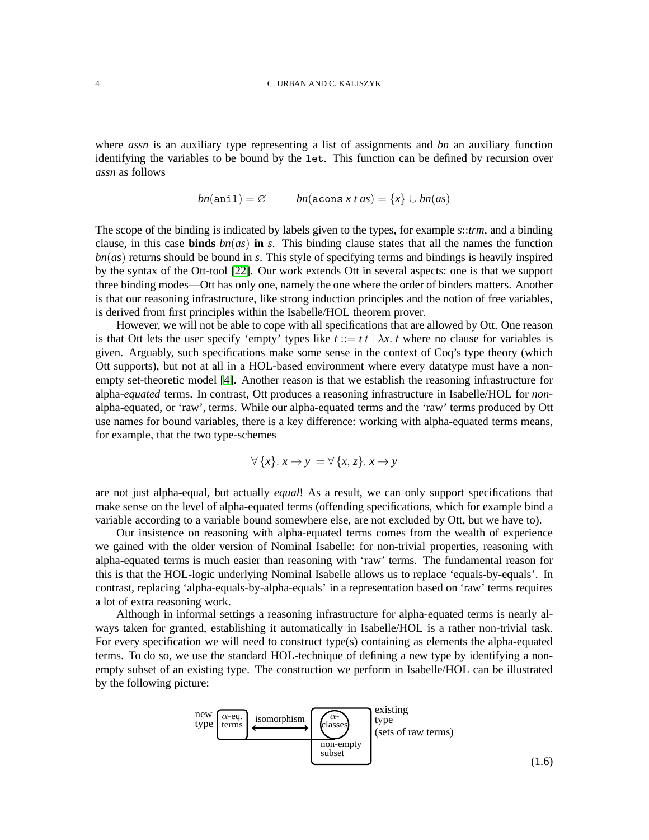where *assn* is an auxiliary type representing a list of assignments and *bn* an auxiliary function identifying the variables to be bound by the let. This function can be defined by recursion over *assn* as follows

$$
bn(\texttt{ani1}) = \varnothing \qquad bn(\texttt{acons} \ x \ t \ as) = \{x\} \cup bn(as)
$$

The scope of the binding is indicated by labels given to the types, for example *s*::*trm*, and a binding clause, in this case **binds**  $bn(a<sub>s</sub>)$  **in** *s*. This binding clause states that all the names the function *bn*(*as*) returns should be bound in *s*. This style of specifying terms and bindings is heavily inspired by the syntax of the Ott-tool [\[22\]](#page-34-7). Our work extends Ott in several aspects: one is that we support three binding modes—Ott has only one, namely the one where the order of binders matters. Another is that our reasoning infrastructure, like strong induction principles and the notion of free variables, is derived from first principles within the Isabelle/HOL theorem prover.

However, we will not be able to cope with all specifications that are allowed by Ott. One reason is that Ott lets the user specify 'empty' types like  $t := t \, t \mid \lambda x$ . *t* where no clause for variables is given. Arguably, such specifications make some sense in the context of Coq's type theory (which Ott supports), but not at all in a HOL-based environment where every datatype must have a nonempty set-theoretic model [\[4\]](#page-33-4). Another reason is that we establish the reasoning infrastructure for alpha-*equated* terms. In contrast, Ott produces a reasoning infrastructure in Isabelle/HOL for *non*alpha-equated, or 'raw', terms. While our alpha-equated terms and the 'raw' terms produced by Ott use names for bound variables, there is a key difference: working with alpha-equated terms means, for example, that the two type-schemes

$$
\forall \{x\}. \ x \rightarrow y = \forall \{x, z\}. \ x \rightarrow y
$$

are not just alpha-equal, but actually *equal*! As a result, we can only support specifications that make sense on the level of alpha-equated terms (offending specifications, which for example bind a variable according to a variable bound somewhere else, are not excluded by Ott, but we have to).

Our insistence on reasoning with alpha-equated terms comes from the wealth of experience we gained with the older version of Nominal Isabelle: for non-trivial properties, reasoning with alpha-equated terms is much easier than reasoning with 'raw' terms. The fundamental reason for this is that the HOL-logic underlying Nominal Isabelle allows us to replace 'equals-by-equals'. In contrast, replacing 'alpha-equals-by-alpha-equals' in a representation based on 'raw' terms requires a lot of extra reasoning work.

Although in informal settings a reasoning infrastructure for alpha-equated terms is nearly always taken for granted, establishing it automatically in Isabelle/HOL is a rather non-trivial task. For every specification we will need to construct type(s) containing as elements the alpha-equated terms. To do so, we use the standard HOL-technique of defining a new type by identifying a nonempty subset of an existing type. The construction we perform in Isabelle/HOL can be illustrated by the following picture:

<span id="page-3-0"></span>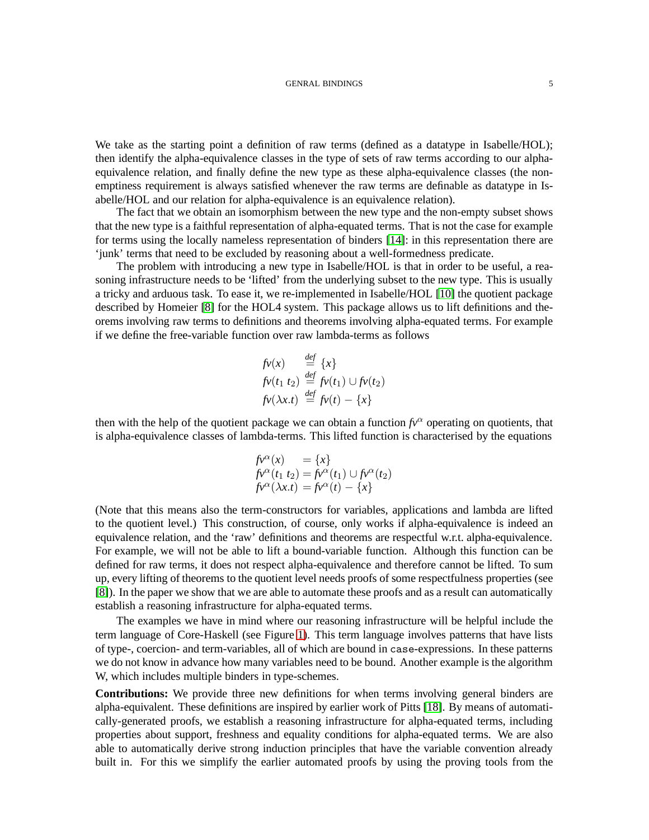We take as the starting point a definition of raw terms (defined as a datatype in Isabelle/HOL); then identify the alpha-equivalence classes in the type of sets of raw terms according to our alphaequivalence relation, and finally define the new type as these alpha-equivalence classes (the nonemptiness requirement is always satisfied whenever the raw terms are definable as datatype in Isabelle/HOL and our relation for alpha-equivalence is an equivalence relation).

The fact that we obtain an isomorphism between the new type and the non-empty subset shows that the new type is a faithful representation of alpha-equated terms. That is not the case for example for terms using the locally nameless representation of binders [\[14\]](#page-33-5): in this representation there are 'junk' terms that need to be excluded by reasoning about a well-formedness predicate.

The problem with introducing a new type in Isabelle/HOL is that in order to be useful, a reasoning infrastructure needs to be 'lifted' from the underlying subset to the new type. This is usually a tricky and arduous task. To ease it, we re-implemented in Isabelle/HOL [\[10\]](#page-33-6) the quotient package described by Homeier [\[8\]](#page-33-7) for the HOL4 system. This package allows us to lift definitions and theorems involving raw terms to definitions and theorems involving alpha-equated terms. For example if we define the free-variable function over raw lambda-terms as follows

$$
\begin{array}{ll}\nfv(x) & \stackrel{def}{=} \{x\} \\
fv(t_1 \ t_2) & \stackrel{def}{=} fv(t_1) \cup fv(t_2) \\
fv(\lambda x.t) & \stackrel{def}{=} fv(t) - \{x\}\n\end{array}
$$

then with the help of the quotient package we can obtain a function  $f(x)$ <sup> $\alpha$ </sup> operating on quotients, that is alpha-equivalence classes of lambda-terms. This lifted function is characterised by the equations

$$
\begin{array}{ll}\nf\nu^{\alpha}(x) &= \{x\} \\
f\nu^{\alpha}(t_1 \ t_2) = f\nu^{\alpha}(t_1) \cup f\nu^{\alpha}(t_2) \\
f\nu^{\alpha}(\lambda x.t) &= f\nu^{\alpha}(t) - \{x\}\n\end{array}
$$

(Note that this means also the term-constructors for variables, applications and lambda are lifted to the quotient level.) This construction, of course, only works if alpha-equivalence is indeed an equivalence relation, and the 'raw' definitions and theorems are respectful w.r.t. alpha-equivalence. For example, we will not be able to lift a bound-variable function. Although this function can be defined for raw terms, it does not respect alpha-equivalence and therefore cannot be lifted. To sum up, every lifting of theorems to the quotient level needs proofs of some respectfulness properties (see [\[8\]](#page-33-7)). In the paper we show that we are able to automate these proofs and as a result can automatically establish a reasoning infrastructure for alpha-equated terms.

The examples we have in mind where our reasoning infrastructure will be helpful include the term language of Core-Haskell (see Figure [1\)](#page-5-0). This term language involves patterns that have lists of type-, coercion- and term-variables, all of which are bound in case-expressions. In these patterns we do not know in advance how many variables need to be bound. Another example is the algorithm W, which includes multiple binders in type-schemes.

**Contributions:** We provide three new definitions for when terms involving general binders are alpha-equivalent. These definitions are inspired by earlier work of Pitts [\[18\]](#page-34-8). By means of automatically-generated proofs, we establish a reasoning infrastructure for alpha-equated terms, including properties about support, freshness and equality conditions for alpha-equated terms. We are also able to automatically derive strong induction principles that have the variable convention already built in. For this we simplify the earlier automated proofs by using the proving tools from the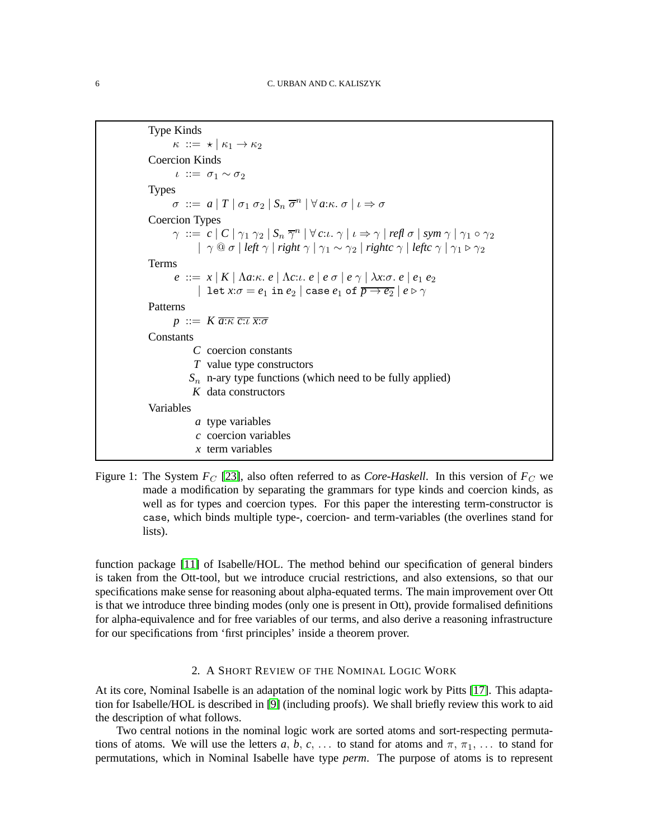```
Type Kinds
         \kappa ::= \star | \kappa_1 \rightarrow \kappa_2Coercion Kinds
         ι ::= σ_1 \sim σ_2Types
         \sigma ::= a | T | \sigma_1 \sigma_2 | S_n \overline{\sigma}^n | \forall a:\kappa \ldotp \sigma | \iota \Rightarrow \sigmaCoercion Types
         \gamma ::= c | C | \gamma_1 \gamma_2 | S_n \overline{\gamma}^n | \forall c:ι. \gamma | ι \Rightarrow \gamma | refl \sigma | sym \gamma | \gamma_1 \circ \gamma_2|\gamma \t0 σ | left \gamma | right \gamma | \gamma_1 \sim \gamma_2 | rightc \gamma | leftc \gamma | \gamma_1 \triangleright \gamma_2Terms
         e ::= x | K | \Lambda a:\kappa e | \Lambda c:\iota e | e \sigma | e \gamma | \lambda x:\sigma e | e_1 e_2| let x:\sigma = e_1 in e_2 | case e_1 of \overline{p \rightarrow e_2} | e \triangleright \gammaPatterns
        p ::= K \overline{a:\kappa} \overline{c:\iota} \overline{x:\sigma}Constants
                C coercion constants
                T value type constructors
              Sn n-ary type functions (which need to be fully applied)
               K data constructors
Variables
                a type variables
                 c coercion variables
                 x term variables
```

```
Figure 1: The System F_C[23], also often referred to as Core-Haskell. In this version of F_C we
          made a modification by separating the grammars for type kinds and coercion kinds, as
          well as for types and coercion types. For this paper the interesting term-constructor is
          case, which binds multiple type-, coercion- and term-variables (the overlines stand for
          lists).
```
function package [\[11\]](#page-33-8) of Isabelle/HOL. The method behind our specification of general binders is taken from the Ott-tool, but we introduce crucial restrictions, and also extensions, so that our specifications make sense for reasoning about alpha-equated terms. The main improvement over Ott is that we introduce three binding modes (only one is present in Ott), provide formalised definitions for alpha-equivalence and for free variables of our terms, and also derive a reasoning infrastructure for our specifications from 'first principles' inside a theorem prover.

### 2. A SHORT REVIEW OF THE NOMINAL LOGIC WORK

At its core, Nominal Isabelle is an adaptation of the nominal logic work by Pitts [\[17\]](#page-34-10). This adaptation for Isabelle/HOL is described in [\[9\]](#page-33-9) (including proofs). We shall briefly review this work to aid the description of what follows.

Two central notions in the nominal logic work are sorted atoms and sort-respecting permutations of atoms. We will use the letters  $a, b, c, \ldots$  to stand for atoms and  $\pi, \pi_1, \ldots$  to stand for permutations, which in Nominal Isabelle have type *perm*. The purpose of atoms is to represent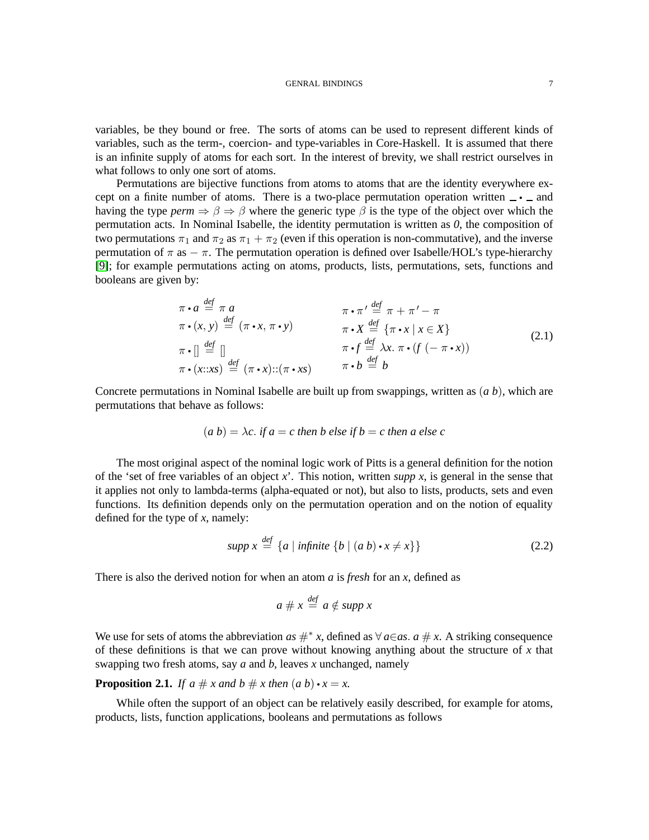variables, be they bound or free. The sorts of atoms can be used to represent different kinds of variables, such as the term-, coercion- and type-variables in Core-Haskell. It is assumed that there is an infinite supply of atoms for each sort. In the interest of brevity, we shall restrict ourselves in what follows to only one sort of atoms.

Permutations are bijective functions from atoms to atoms that are the identity everywhere except on a finite number of atoms. There is a two-place permutation operation written  $\rightarrow \rightarrow$  and having the type  $perm \Rightarrow \beta \Rightarrow \beta$  where the generic type  $\beta$  is the type of the object over which the permutation acts. In Nominal Isabelle, the identity permutation is written as *0*, the composition of two permutations  $\pi_1$  and  $\pi_2$  as  $\pi_1 + \pi_2$  (even if this operation is non-commutative), and the inverse permutation of  $\pi$  as  $-\pi$ . The permutation operation is defined over Isabelle/HOL's type-hierarchy [\[9\]](#page-33-9); for example permutations acting on atoms, products, lists, permutations, sets, functions and booleans are given by:

$$
\pi \cdot a \stackrel{\text{def}}{=} \pi a \qquad \pi \cdot \pi' \stackrel{\text{def}}{=} \pi + \pi' - \pi
$$
\n
$$
\pi \cdot (x, y) \stackrel{\text{def}}{=} (\pi \cdot x, \pi \cdot y) \qquad \pi \cdot X \stackrel{\text{def}}{=} {\pi \cdot x \mid x \in X}
$$
\n
$$
\pi \cdot \left[ \stackrel{\text{def}}{=} \right] \qquad \pi \cdot f \stackrel{\text{def}}{=} \lambda x. \pi \cdot (f(-\pi \cdot x))
$$
\n
$$
\pi \cdot (x::xx) \stackrel{\text{def}}{=} (\pi \cdot x) :: (\pi \cdot xs) \qquad \pi \cdot b \stackrel{\text{def}}{=} b \qquad (2.1)
$$

Concrete permutations in Nominal Isabelle are built up from swappings, written as (*a b*), which are permutations that behave as follows:

$$
(a b) = \lambda c
$$
. if  $a = c$  then  $b$  else if  $b = c$  then  $a$  else  $c$ 

The most original aspect of the nominal logic work of Pitts is a general definition for the notion of the 'set of free variables of an object *x*'. This notion, written *supp x*, is general in the sense that it applies not only to lambda-terms (alpha-equated or not), but also to lists, products, sets and even functions. Its definition depends only on the permutation operation and on the notion of equality defined for the type of *x*, namely:

<span id="page-6-1"></span>
$$
supp x \stackrel{def}{=} \{a \mid infinite \{b \mid (a \ b) \cdot x \neq x\}\}\tag{2.2}
$$

There is also the derived notion for when an atom *a* is *fresh* for an *x*, defined as

$$
a \# x \stackrel{\text{def}}{=} a \notin \text{supp } x
$$

We use for sets of atoms the abbreviation *as*  $#^* x$ , defined as  $\forall a \in a s$ . *a*  $\# x$ . A striking consequence of these definitions is that we can prove without knowing anything about the structure of *x* that swapping two fresh atoms, say *a* and *b*, leaves *x* unchanged, namely

<span id="page-6-0"></span>**Proposition 2.1.** *If a*  $\# x$  *and b*  $\# x$  *then*  $(a b) \cdot x = x$ .

While often the support of an object can be relatively easily described, for example for atoms, products, lists, function applications, booleans and permutations as follows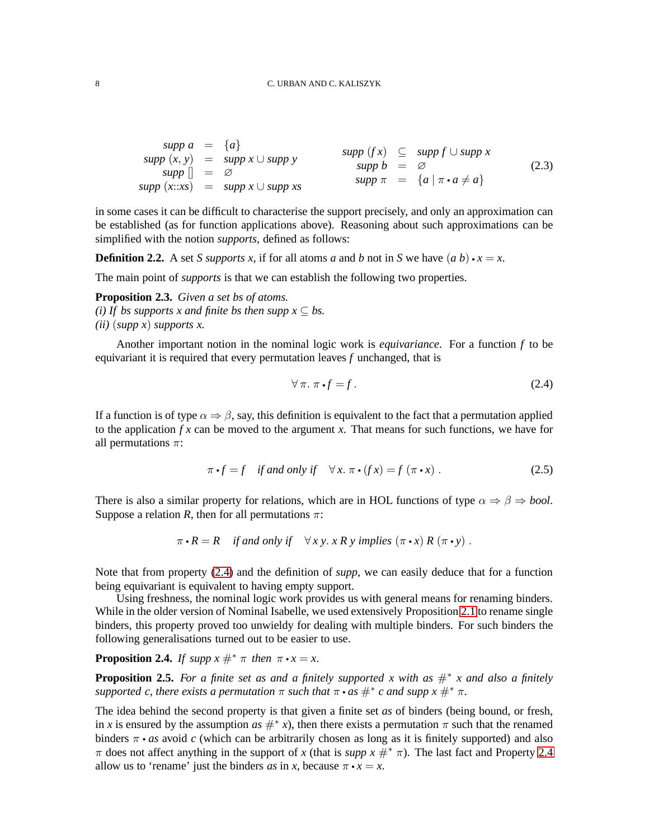<span id="page-7-5"></span>
$$
supp a = {a}
$$
  
\n
$$
supp (x, y) = supp x \cup supp y
$$
  
\n
$$
supp [] = \varnothing
$$
  
\n
$$
supp (x::xs) = supp x \cup supp xs
$$
  
\n
$$
supp x = {a | \pi \cdot a \neq a}
$$
  
\n
$$
supp x = {a | \pi \cdot a \neq a}
$$
  
\n(2.3)

in some cases it can be difficult to characterise the support precisely, and only an approximation can be established (as for function applications above). Reasoning about such approximations can be simplified with the notion *supports*, defined as follows:

**Definition 2.2.** A set *S supports x*, if for all atoms *a* and *b* not in *S* we have  $(a\ b) \cdot x = x$ .

The main point of *supports* is that we can establish the following two properties.

<span id="page-7-3"></span>**Proposition 2.3.** *Given a set bs of atoms. (i) If bs supports x and finite bs then supp*  $x \subseteq bs$ *. (ii)* (*supp x*) *supports x.*

Another important notion in the nominal logic work is *equivariance*. For a function *f* to be equivariant it is required that every permutation leaves *f* unchanged, that is

<span id="page-7-0"></span>
$$
\forall \pi. \ \pi \cdot f = f. \tag{2.4}
$$

If a function is of type  $\alpha \Rightarrow \beta$ , say, this definition is equivalent to the fact that a permutation applied to the application  $f x$  can be moved to the argument x. That means for such functions, we have for all permutations  $\pi$ :

<span id="page-7-4"></span>
$$
\pi \cdot f = f \quad \text{if and only if} \quad \forall x. \ \pi \cdot (fx) = f(\pi \cdot x). \tag{2.5}
$$

There is also a similar property for relations, which are in HOL functions of type  $\alpha \Rightarrow \beta \Rightarrow \text{bool}$ . Suppose a relation *R*, then for all permutations  $\pi$ :

$$
\pi \cdot R = R \quad \text{if and only if} \quad \forall x \, y. \, x \, R \, y \, \text{implies} \, (\pi \cdot x) \, R \, (\pi \cdot y) \, .
$$

Note that from property [\(2.4\)](#page-7-0) and the definition of *supp*, we can easily deduce that for a function being equivariant is equivalent to having empty support.

Using freshness, the nominal logic work provides us with general means for renaming binders. While in the older version of Nominal Isabelle, we used extensively Proposition [2.1](#page-6-0) to rename single binders, this property proved too unwieldy for dealing with multiple binders. For such binders the following generalisations turned out to be easier to use.

<span id="page-7-1"></span>**Proposition 2.4.** *If supp*  $x \#^* \pi$  *then*  $\pi \cdot x = x$ .

<span id="page-7-2"></span>**Proposition 2.5.** For a finite set as and a finitely supported x with as  $#^*$  x and also a finitely *supported c, there exists a permutation*  $\pi$  *such that*  $\pi \cdot as \#^* c$  *and supp*  $x \#^* \pi$ *.* 

The idea behind the second property is that given a finite set *as* of binders (being bound, or fresh, in *x* is ensured by the assumption  $as \#^* x$ , then there exists a permutation  $\pi$  such that the renamed binders  $\pi \cdot as$  avoid *c* (which can be arbitrarily chosen as long as it is finitely supported) and also π does not affect anything in the support of *x* (that is *supp x*  $\#^*$  π). The last fact and Property [2.4](#page-7-1) allow us to 'rename' just the binders *as* in *x*, because  $\pi \cdot x = x$ .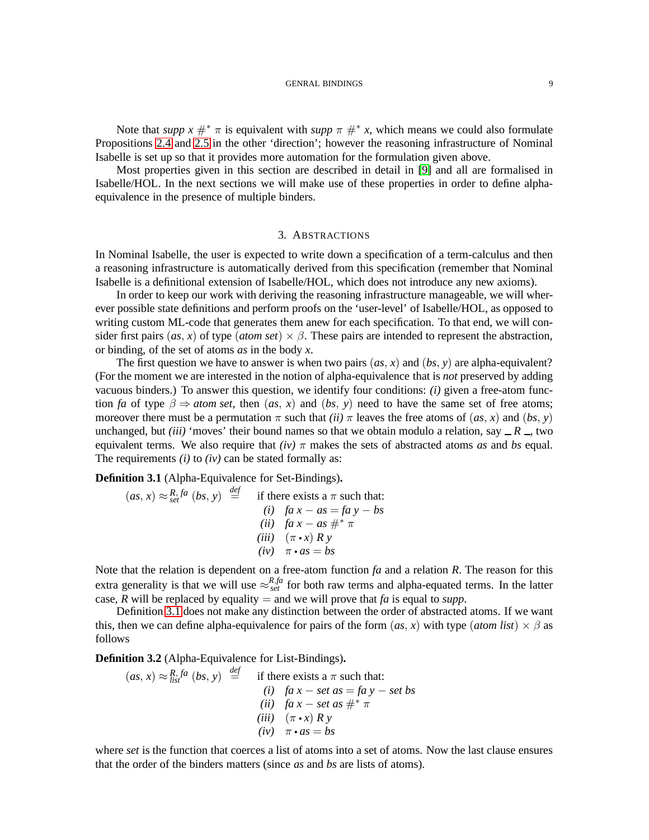Note that *supp*  $x \#^* \pi$  is equivalent with *supp*  $\pi \#^* x$ , which means we could also formulate Propositions [2.4](#page-7-1) and [2.5](#page-7-2) in the other 'direction'; however the reasoning infrastructure of Nominal Isabelle is set up so that it provides more automation for the formulation given above.

Most properties given in this section are described in detail in [\[9\]](#page-33-9) and all are formalised in Isabelle/HOL. In the next sections we will make use of these properties in order to define alphaequivalence in the presence of multiple binders.

#### 3. ABSTRACTIONS

<span id="page-8-2"></span>In Nominal Isabelle, the user is expected to write down a specification of a term-calculus and then a reasoning infrastructure is automatically derived from this specification (remember that Nominal Isabelle is a definitional extension of Isabelle/HOL, which does not introduce any new axioms).

In order to keep our work with deriving the reasoning infrastructure manageable, we will wherever possible state definitions and perform proofs on the 'user-level' of Isabelle/HOL, as opposed to writing custom ML-code that generates them anew for each specification. To that end, we will consider first pairs (*as*, *x*) of type (*atom set*)  $\times$   $\beta$ . These pairs are intended to represent the abstraction, or binding, of the set of atoms *as* in the body *x*.

The first question we have to answer is when two pairs  $(as, x)$  and  $(bs, y)$  are alpha-equivalent? (For the moment we are interested in the notion of alpha-equivalence that is *not* preserved by adding vacuous binders.) To answer this question, we identify four conditions: *(i)* given a free-atom function *fa* of type  $\beta \Rightarrow$  *atom set*, then (*as*, *x*) and (*bs*, *y*) need to have the same set of free atoms; moreover there must be a permutation  $\pi$  such that *(ii)*  $\pi$  leaves the free atoms of *(as, x)* and *(bs, y)* unchanged, but *(iii)* 'moves' their bound names so that we obtain modulo a relation, say  $-R$ , two equivalent terms. We also require that  $(iv)$   $\pi$  makes the sets of abstracted atoms *as* and *bs* equal. The requirements *(i)* to *(iv)* can be stated formally as:

<span id="page-8-0"></span>**Definition 3.1** (Alpha-Equivalence for Set-Bindings)**.**

$$
(as, x) \approx_{set}^{R, fa} (bs, y) \stackrel{def}{=} \text{if there exists a } \pi \text{ such that:}
$$
\n
$$
(i) \quad fa \ x - as = fa \ y - bs
$$
\n
$$
(ii) \quad fa \ x - as \ \#^* \ \pi
$$
\n
$$
(iii) \quad (\pi \cdot x) \ R \ y
$$
\n
$$
(iv) \quad \pi \cdot as = bs
$$

Note that the relation is dependent on a free-atom function *fa* and a relation *R*. The reason for this extra generality is that we will use  $\approx_{set}^{R,fa}$  for both raw terms and alpha-equated terms. In the latter case, *R* will be replaced by equality = and we will prove that *fa* is equal to *supp*.

Definition [3.1](#page-8-0) does not make any distinction between the order of abstracted atoms. If we want this, then we can define alpha-equivalence for pairs of the form  $(as, x)$  with type  $(atom list) \times \beta$  as follows

<span id="page-8-1"></span>**Definition 3.2** (Alpha-Equivalence for List-Bindings)**.**

 $(as, x) \approx \frac{R}{list}$   $(bs, y) \stackrel{def}{=}$ if there exists a  $\pi$  such that: *(i) fa x* − *set as* = *fa y* − *set bs (ii)*  $fa x - set as #^* \pi$  $(iii)$   $(\pi \cdot x)$  *Ry*  $(iv)$   $\pi \cdot as = bs$ 

where *set* is the function that coerces a list of atoms into a set of atoms. Now the last clause ensures that the order of the binders matters (since *as* and *bs* are lists of atoms).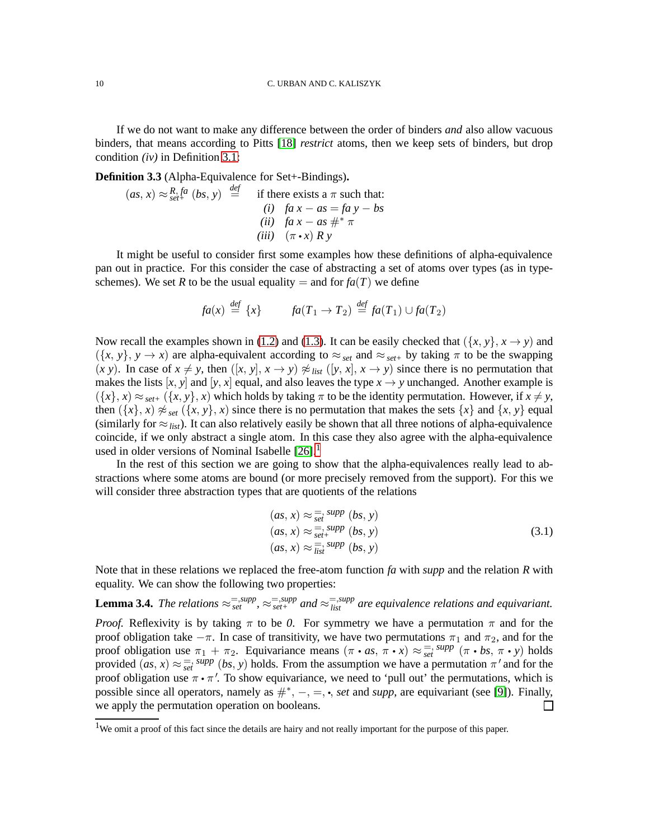If we do not want to make any difference between the order of binders *and* also allow vacuous binders, that means according to Pitts [\[18\]](#page-34-8) *restrict* atoms, then we keep sets of binders, but drop condition *(iv)* in Definition [3.1:](#page-8-0)

<span id="page-9-1"></span>**Definition 3.3** (Alpha-Equivalence for Set+-Bindings)**.**

$$
(as, x) \approx_{set^{+}}^{R, fa} (bs, y) \stackrel{def}{=} \text{if there exists a } \pi \text{ such that:}
$$
\n
$$
(i) \quad fa \ x - as = fa \ y - bs
$$
\n
$$
(ii) \quad fa \ x - as \#^* \pi
$$
\n
$$
(iii) \quad (\pi \cdot x) \ R \ y
$$

It might be useful to consider first some examples how these definitions of alpha-equivalence pan out in practice. For this consider the case of abstracting a set of atoms over types (as in typeschemes). We set *R* to be the usual equality = and for  $fa(T)$  we define

$$
fa(x) \stackrel{def}{=} \{x\} \qquad fa(T_1 \to T_2) \stackrel{def}{=} fa(T_1) \cup fa(T_2)
$$

Now recall the examples shown in [\(1.2\)](#page-1-0) and [\(1.3\)](#page-1-1). It can be easily checked that  $({x, y}, x \rightarrow y)$  and  $({x, y}, y \rightarrow x)$  are alpha-equivalent according to  $\approx_{set}$  and  $\approx_{set}$  by taking  $\pi$  to be the swapping  $(x y)$ . In case of  $x \neq y$ , then  $([x, y], x \rightarrow y) \not\approx$  *list*  $([y, x], x \rightarrow y)$  since there is no permutation that makes the lists  $[x, y]$  and  $[y, x]$  equal, and also leaves the type  $x \rightarrow y$  unchanged. Another example is  $({x}, x) \approx_{set+} ({x}, y, x)$  which holds by taking  $\pi$  to be the identity permutation. However, if  $x \neq y$ , then  $({x}, x) \not\approx_{set} ({x}, y)$ , *x*) since there is no permutation that makes the sets  ${x}$  and  ${x, y}$  equal (similarly for  $\approx$ <sub>*list*</sub>). It can also relatively easily be shown that all three notions of alpha-equivalence coincide, if we only abstract a single atom. In this case they also agree with the alpha-equivalence used in older versions of Nominal Isabelle  $[26]$ <sup>[1](#page-9-0)</sup>

In the rest of this section we are going to show that the alpha-equivalences really lead to abstractions where some atoms are bound (or more precisely removed from the support). For this we will consider three abstraction types that are quotients of the relations

$$
(as, x) \approx \frac{1}{set} \sup_{set} (bs, y)
$$
  
\n
$$
(as, x) \approx \frac{1}{set} \sup_{set} (bs, y)
$$
  
\n
$$
(as, x) \approx \frac{1}{list} \sup_{S} (bs, y)
$$
  
\n
$$
(3.1)
$$

Note that in these relations we replaced the free-atom function *fa* with *supp* and the relation *R* with equality. We can show the following two properties:

<span id="page-9-2"></span>**Lemma 3.4.** The relations  $\approx_{set}^{=,supp}$ ,  $\approx_{set}^{=,supp}$  and  $\approx_{list}^{=,supp}$  are equivalence relations and equivariant. *Proof.* Reflexivity is by taking  $\pi$  to be 0. For symmetry we have a permutation  $\pi$  and for the proof obligation take  $-\pi$ . In case of transitivity, we have two permutations  $\pi_1$  and  $\pi_2$ , and for the proof obligation use  $\pi_1 + \pi_2$ . Equivariance means  $(\pi \cdot as, \pi \cdot x) \approx \frac{1}{set} \sup_{s \in \mathcal{S}} \pi(\pi \cdot bs, \pi \cdot y)$  holds provided  $(as, x) \approx \frac{1}{set}$  *supp*  $(bs, y)$  holds. From the assumption we have a permutation  $\pi'$  and for the proof obligation use  $\pi \cdot \pi'$ . To show equivariance, we need to 'pull out' the permutations, which is possible since all operators, namely as  $\#^*$ , −, =, •, *set* and *supp*, are equivariant (see [\[9\]](#page-33-9)). Finally, we apply the permutation operation on booleans. П

<span id="page-9-0"></span><sup>1</sup>We omit a proof of this fact since the details are hairy and not really important for the purpose of this paper.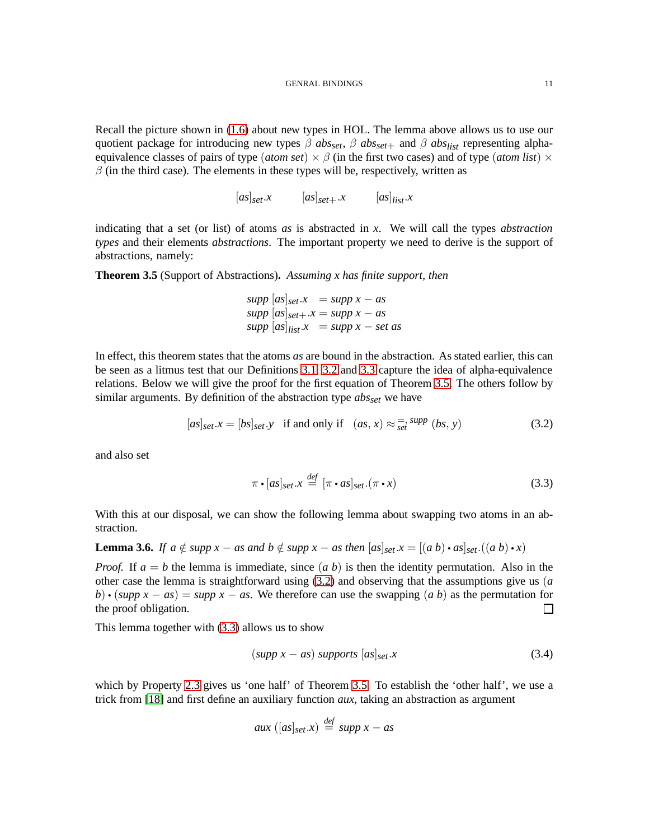Recall the picture shown in [\(1.6\)](#page-3-0) about new types in HOL. The lemma above allows us to use our quotient package for introducing new types  $\beta$  *abs*<sub>set</sub>,  $\beta$  *abs*<sub>set</sub>+ and  $\beta$  *abs*<sub>list</sub> representing alphaequivalence classes of pairs of type (*atom set*)  $\times \beta$  (in the first two cases) and of type (*atom list*)  $\times$  $\beta$  (in the third case). The elements in these types will be, respectively, written as

 $[as]_{set}.x$   $[as]_{set}.x$   $[as]_{list}.x$ 

indicating that a set (or list) of atoms *as* is abstracted in *x*. We will call the types *abstraction types* and their elements *abstractions*. The important property we need to derive is the support of abstractions, namely:

<span id="page-10-0"></span>**Theorem 3.5** (Support of Abstractions)**.** *Assuming x has finite support, then*

 $supp$   $[a_s]_{set}.x$  =  $supp x - as$  $supp$   $[a_s]_{set +}$ . $x = supp x - as$  $supp$   $[as]$ <sub>*list*</sub> $\cdot$ *x* = *supp x* – *set as* 

In effect, this theorem states that the atoms *as* are bound in the abstraction. As stated earlier, this can be seen as a litmus test that our Definitions [3.1,](#page-8-0) [3.2](#page-8-1) and [3.3](#page-9-1) capture the idea of alpha-equivalence relations. Below we will give the proof for the first equation of Theorem [3.5.](#page-10-0) The others follow by similar arguments. By definition of the abstraction type *absset* we have

<span id="page-10-1"></span>
$$
[as]_{set}.x = [bs]_{set}.y \text{ if and only if } (as, x) \approx \frac{1}{set} \text{ supp } (bs, y) \tag{3.2}
$$

and also set

<span id="page-10-2"></span>
$$
\pi \cdot [as]_{set} . x \stackrel{def}{=} [\pi \cdot as]_{set}.(\pi \cdot x) \tag{3.3}
$$

With this at our disposal, we can show the following lemma about swapping two atoms in an abstraction.

**Lemma 3.6.** *If a*  $\notin$  *supp*  $x - as$  *and*  $b \notin supp x - as$  *then*  $[as]_{set}$ . $x = [(a \ b) \cdot as]_{set}$ . $((a \ b) \cdot x)$ 

*Proof.* If  $a = b$  the lemma is immediate, since  $(a, b)$  is then the identity permutation. Also in the other case the lemma is straightforward using [\(3.2\)](#page-10-1) and observing that the assumptions give us (*a b*) • (*supp*  $x - as$ ) = *supp*  $x - as$ . We therefore can use the swapping (*a b*) as the permutation for the proof obligation. П

This lemma together with [\(3.3\)](#page-10-2) allows us to show

<span id="page-10-3"></span>
$$
(supp x - as) supports [as]_{set}.x \t(3.4)
$$

which by Property [2.3](#page-7-3) gives us 'one half' of Theorem [3.5.](#page-10-0) To establish the 'other half', we use a trick from [\[18\]](#page-34-8) and first define an auxiliary function *aux*, taking an abstraction as argument

$$
aux([as]_{set}.x) \stackrel{\text{def}}{=} supp x - as
$$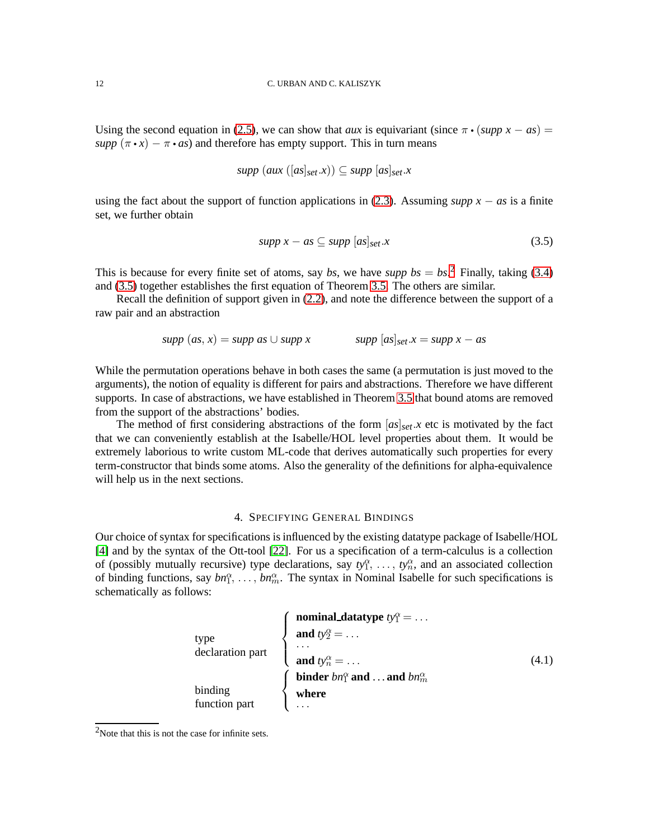Using the second equation in [\(2.5\)](#page-7-4), we can show that *aux* is equivariant (since  $\pi \cdot (supp x - as) =$ *supp*  $(\pi \cdot x) - \pi \cdot as$  and therefore has empty support. This in turn means

$$
supp (aux ([as]_{set}.x)) \subseteq supp [as]_{set}.x
$$

using the fact about the support of function applications in [\(2.3\)](#page-7-5). Assuming *supp*  $x - as$  is a finite set, we further obtain

<span id="page-11-1"></span>
$$
supp x - as \subseteq supp [as]_{set}.x \tag{3.5}
$$

This is because for every finite set of atoms, say *bs*, we have *supp*  $bs = bs$ <sup>[2](#page-11-0)</sup> Finally, taking [\(3.4\)](#page-10-3) and [\(3.5\)](#page-11-1) together establishes the first equation of Theorem [3.5.](#page-10-0) The others are similar.

Recall the definition of support given in [\(2.2\)](#page-6-1), and note the difference between the support of a raw pair and an abstraction

$$
supp (as, x) = supp as \cup supp x \qquad supp [as]_{set}.x = supp x - as
$$

While the permutation operations behave in both cases the same (a permutation is just moved to the arguments), the notion of equality is different for pairs and abstractions. Therefore we have different supports. In case of abstractions, we have established in Theorem [3.5](#page-10-0) that bound atoms are removed from the support of the abstractions' bodies.

The method of first considering abstractions of the form  $[as]_{set}.x$  etc is motivated by the fact that we can conveniently establish at the Isabelle/HOL level properties about them. It would be extremely laborious to write custom ML-code that derives automatically such properties for every term-constructor that binds some atoms. Also the generality of the definitions for alpha-equivalence will help us in the next sections.

#### 4. SPECIFYING GENERAL BINDINGS

Our choice of syntax for specifications is influenced by the existing datatype package of Isabelle/HOL [\[4\]](#page-33-4) and by the syntax of the Ott-tool [\[22\]](#page-34-7). For us a specification of a term-calculus is a collection of (possibly mutually recursive) type declarations, say  $ty_1^\alpha, \ldots, ty_n^\alpha$ , and an associated collection of binding functions, say  $bn_1^{\alpha}, \ldots, bn_m^{\alpha}$ . The syntax in Nominal Isabelle for such specifications is schematically as follows:

<span id="page-11-2"></span>

| type<br>declaration part | <b>nominal_datatype</b> $ty_1^{\alpha} = \dots$ |       |
|--------------------------|-------------------------------------------------|-------|
|                          | and $ty_2^{\alpha} = \ldots$                    |       |
|                          |                                                 |       |
|                          | and $ty_n^{\alpha} = \dots$                     | (4.1) |
| binding<br>function part | binder $bn_1^{\alpha}$ and  and $bn_m^{\alpha}$ |       |
|                          | where                                           |       |
|                          |                                                 |       |

<span id="page-11-0"></span><sup>2</sup>Note that this is not the case for infinite sets.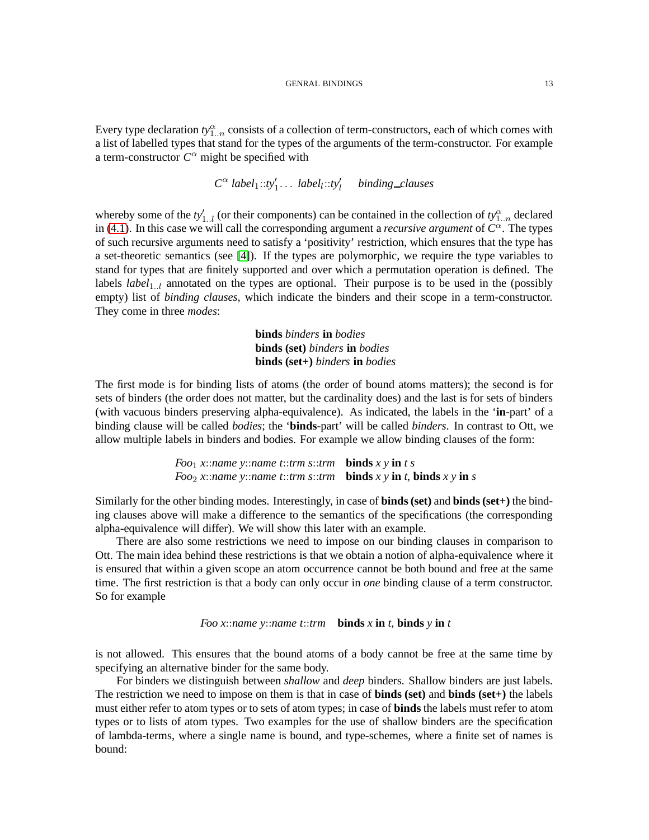Every type declaration  $ty_{1..n}^{\alpha}$  consists of a collection of term-constructors, each of which comes with a list of labelled types that stand for the types of the arguments of the term-constructor. For example a term-constructor  $C^{\alpha}$  might be specified with

$$
C^{\alpha} \ label_1 :: t y_1' \dots \ label_l :: t y_l' \quad binding\_clauses
$$

whereby some of the  $ty'_{1..l}$  (or their components) can be contained in the collection of  $ty^{\alpha}_{1..n}$  declared in [\(4.1\)](#page-11-2). In this case we will call the corresponding argument a *recursive argument* of  $C^{\alpha}$ . The types of such recursive arguments need to satisfy a 'positivity' restriction, which ensures that the type has a set-theoretic semantics (see [\[4\]](#page-33-4)). If the types are polymorphic, we require the type variables to stand for types that are finitely supported and over which a permutation operation is defined. The labels *label*<sub>1..l</sub> annotated on the types are optional. Their purpose is to be used in the (possibly empty) list of *binding clauses*, which indicate the binders and their scope in a term-constructor. They come in three *modes*:

> **binds** *binders* **in** *bodies* **binds (set)** *binders* **in** *bodies* **binds (set+)** *binders* **in** *bodies*

The first mode is for binding lists of atoms (the order of bound atoms matters); the second is for sets of binders (the order does not matter, but the cardinality does) and the last is for sets of binders (with vacuous binders preserving alpha-equivalence). As indicated, the labels in the '**in**-part' of a binding clause will be called *bodies*; the '**binds**-part' will be called *binders*. In contrast to Ott, we allow multiple labels in binders and bodies. For example we allow binding clauses of the form:

> *Foo*1 *x*::*name y*::*name t*::*trm s*::*trm* **binds** *x y* **in** *t s Foo*<sub>2</sub> *x*::*name y*::*name t*::*trm s*::*trm* **binds** *x y* **in** *t*, **binds** *x y* **in** *s*

Similarly for the other binding modes. Interestingly, in case of **binds (set)** and **binds (set+)** the binding clauses above will make a difference to the semantics of the specifications (the corresponding alpha-equivalence will differ). We will show this later with an example.

There are also some restrictions we need to impose on our binding clauses in comparison to Ott. The main idea behind these restrictions is that we obtain a notion of alpha-equivalence where it is ensured that within a given scope an atom occurrence cannot be both bound and free at the same time. The first restriction is that a body can only occur in *one* binding clause of a term constructor. So for example

### *Foo x*::*name y*::*name t*::*trm* **binds** *x* **in** *t*, **binds** *y* **in** *t*

is not allowed. This ensures that the bound atoms of a body cannot be free at the same time by specifying an alternative binder for the same body.

For binders we distinguish between *shallow* and *deep* binders. Shallow binders are just labels. The restriction we need to impose on them is that in case of **binds (set)** and **binds (set+)** the labels must either refer to atom types or to sets of atom types; in case of **binds** the labels must refer to atom types or to lists of atom types. Two examples for the use of shallow binders are the specification of lambda-terms, where a single name is bound, and type-schemes, where a finite set of names is bound: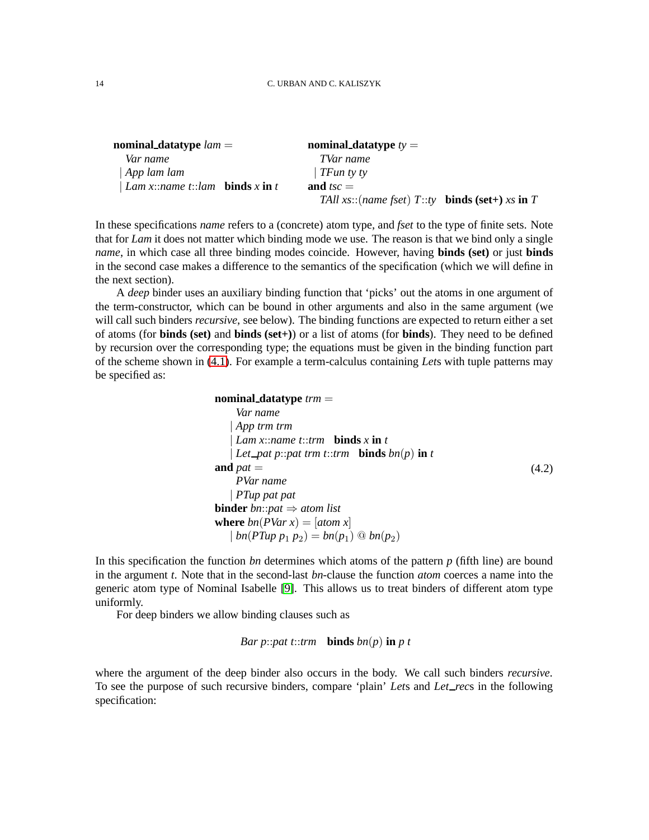| nominal_datatype $lam =$                             | nominal_datatype $ty =$                                          |
|------------------------------------------------------|------------------------------------------------------------------|
| Var name                                             | TVar name                                                        |
| $\vert$ App lam lam                                  | TFun ty ty                                                       |
| <i>Lam x::name t::lam</i> <b>binds</b> x <b>in</b> t | and $tsc =$                                                      |
|                                                      | TAll xs::(name fset) $T::ty$ <b>binds (set</b> +) xs <b>in</b> T |

In these specifications *name* refers to a (concrete) atom type, and *fset* to the type of finite sets. Note that for *Lam* it does not matter which binding mode we use. The reason is that we bind only a single *name*, in which case all three binding modes coincide. However, having **binds (set)** or just **binds** in the second case makes a difference to the semantics of the specification (which we will define in the next section).

A *deep* binder uses an auxiliary binding function that 'picks' out the atoms in one argument of the term-constructor, which can be bound in other arguments and also in the same argument (we will call such binders *recursive*, see below). The binding functions are expected to return either a set of atoms (for **binds (set)** and **binds (set+)**) or a list of atoms (for **binds**). They need to be defined by recursion over the corresponding type; the equations must be given in the binding function part of the scheme shown in [\(4.1\)](#page-11-2). For example a term-calculus containing *Let*s with tuple patterns may be specified as:

```
nominal datatype trm =
     Var name
    | App trm trm
    | Lam x::name t::trm binds x in t
    Let pat p::pat trm t::trm binds bn(p) in t
and pat =PVar name
    | PTup pat pat
binder bn::pat \Rightarrow atom list
where bn(PVar x) = [atom x]| \textit{bn}(PTup \ p_1 \ p_2) = \textit{bn}(p_1) \ @ \textit{bn}(p_2)(4.2)
```
In this specification the function *bn* determines which atoms of the pattern *p* (fifth line) are bound in the argument *t*. Note that in the second-last *bn*-clause the function *atom* coerces a name into the generic atom type of Nominal Isabelle [\[9\]](#page-33-9). This allows us to treat binders of different atom type uniformly.

For deep binders we allow binding clauses such as

```
Bar p::pat t::trm binds bn(p) in p t
```
where the argument of the deep binder also occurs in the body. We call such binders *recursive*. To see the purpose of such recursive binders, compare 'plain' *Let*s and *Let rec*s in the following specification: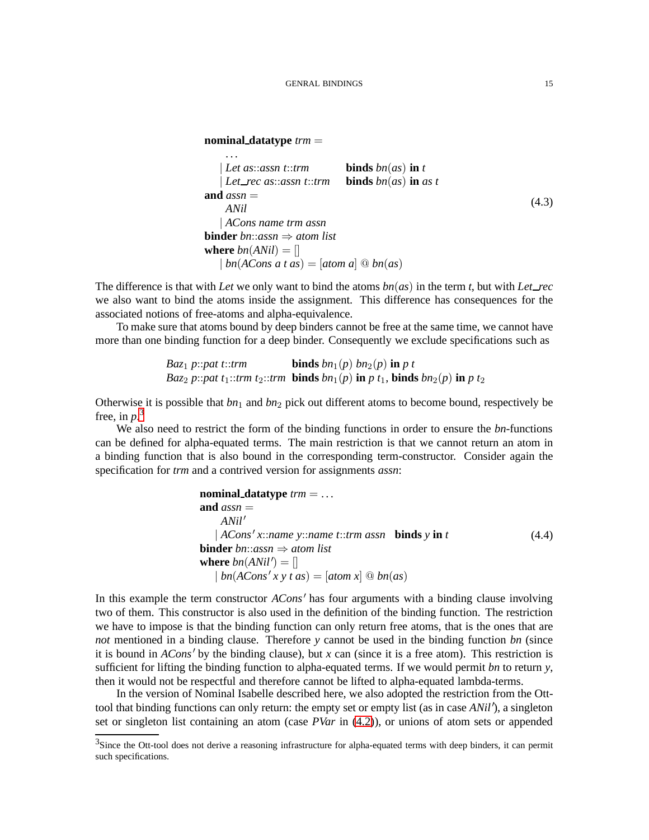```
nominal datatype trm =
```
. . .

<span id="page-14-1"></span>
$$
Let as::assn t::trm
$$
 **binds**  $bn(as)$  **in** t  
\n
$$
Let\_rec \, as::assn t::trm
$$
 **binds**  $bn(as)$  **in** as t  
\n**and**  $assn =$   
\n
$$
ANil
$$
  
\n
$$
| ACons \, name \, trm \, assn
$$
  
\n**binder**  $bn::assn \Rightarrow atom \, list$   
\n**where**  $bn(ANil) = []$   
\n
$$
| bn(ACons \, at \, as) = [atom \, a] \, @ \, bn(as)
$$
\n(4.3)

The difference is that with *Let* we only want to bind the atoms  $bn(as)$  in the term *t*, but with *Let rec* we also want to bind the atoms inside the assignment. This difference has consequences for the associated notions of free-atoms and alpha-equivalence.

To make sure that atoms bound by deep binders cannot be free at the same time, we cannot have more than one binding function for a deep binder. Consequently we exclude specifications such as

*Baz*<sub>1</sub> *p*:*pat t*:*trm* **binds** 
$$
bn_1(p)
$$
  $bn_2(p)$  **in** *p t*   
*Baz*<sub>2</sub> *p*:*pat t*<sub>1</sub>:*trm t*<sub>2</sub>:*trm* **binds**  $bn_1(p)$  **in** *p t*<sub>1</sub>, **binds**  $bn_2(p)$  **in** *p t*<sub>2</sub>

Otherwise it is possible that  $bn_1$  and  $bn_2$  pick out different atoms to become bound, respectively be free, in  $p^3$  $p^3$ .

We also need to restrict the form of the binding functions in order to ensure the *bn*-functions can be defined for alpha-equated terms. The main restriction is that we cannot return an atom in a binding function that is also bound in the corresponding term-constructor. Consider again the specification for *trm* and a contrived version for assignments *assn*:

nominal\_datatype 
$$
trm = \ldots
$$

\nand  $assn =$ 

\n $ANil'$ 

\n $|ACons'x::name y::name t::trm assn$  **binds y in t**

\nbinder  $bn::assn \Rightarrow atom list$ 

\nwhere  $bn(ANil') = []$ 

\n $|bn(ACons'x y t as) = [atom x] \textcircled{b} bn(as)$ 

In this example the term constructor *ACons*′ has four arguments with a binding clause involving two of them. This constructor is also used in the definition of the binding function. The restriction we have to impose is that the binding function can only return free atoms, that is the ones that are *not* mentioned in a binding clause. Therefore *y* cannot be used in the binding function *bn* (since it is bound in *ACons*′ by the binding clause), but *x* can (since it is a free atom). This restriction is sufficient for lifting the binding function to alpha-equated terms. If we would permit *bn* to return *y*, then it would not be respectful and therefore cannot be lifted to alpha-equated lambda-terms.

In the version of Nominal Isabelle described here, we also adopted the restriction from the Otttool that binding functions can only return: the empty set or empty list (as in case *ANil* ′ ), a singleton set or singleton list containing an atom (case *PVar* in [\(4.2\)](#page-13-0)), or unions of atom sets or appended

<span id="page-14-0"></span><sup>&</sup>lt;sup>3</sup>Since the Ott-tool does not derive a reasoning infrastructure for alpha-equated terms with deep binders, it can permit such specifications.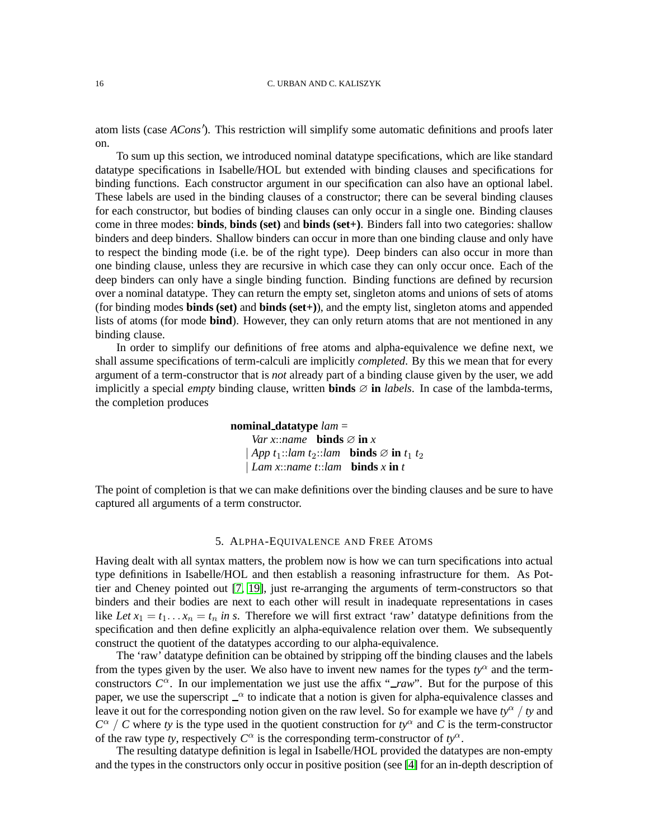atom lists (case *ACons*′ ). This restriction will simplify some automatic definitions and proofs later on.

To sum up this section, we introduced nominal datatype specifications, which are like standard datatype specifications in Isabelle/HOL but extended with binding clauses and specifications for binding functions. Each constructor argument in our specification can also have an optional label. These labels are used in the binding clauses of a constructor; there can be several binding clauses for each constructor, but bodies of binding clauses can only occur in a single one. Binding clauses come in three modes: **binds**, **binds (set)** and **binds (set+)**. Binders fall into two categories: shallow binders and deep binders. Shallow binders can occur in more than one binding clause and only have to respect the binding mode (i.e. be of the right type). Deep binders can also occur in more than one binding clause, unless they are recursive in which case they can only occur once. Each of the deep binders can only have a single binding function. Binding functions are defined by recursion over a nominal datatype. They can return the empty set, singleton atoms and unions of sets of atoms (for binding modes **binds (set)** and **binds (set+)**), and the empty list, singleton atoms and appended lists of atoms (for mode **bind**). However, they can only return atoms that are not mentioned in any binding clause.

In order to simplify our definitions of free atoms and alpha-equivalence we define next, we shall assume specifications of term-calculi are implicitly *completed*. By this we mean that for every argument of a term-constructor that is *not* already part of a binding clause given by the user, we add implicitly a special *empty* binding clause, written **binds** ∅ **in** *labels*. In case of the lambda-terms, the completion produces

> **nominal datatype** *lam* = *Var x*::*name* **binds**  $\varnothing$  **in** *x*  $App \t1::lam \t2::lam \t 0::lam \t 0::d s \oslash in \t1_1 \t2_2$ | *Lam x*::*name t*::*lam* **binds** *x* **in** *t*

The point of completion is that we can make definitions over the binding clauses and be sure to have captured all arguments of a term constructor.

#### 5. ALPHA-EQUIVALENCE AND FREE ATOMS

Having dealt with all syntax matters, the problem now is how we can turn specifications into actual type definitions in Isabelle/HOL and then establish a reasoning infrastructure for them. As Pottier and Cheney pointed out [\[7,](#page-33-3) [19\]](#page-34-6), just re-arranging the arguments of term-constructors so that binders and their bodies are next to each other will result in inadequate representations in cases like *Let*  $x_1 = t_1 \dots x_n = t_n$  *in s*. Therefore we will first extract 'raw' datatype definitions from the specification and then define explicitly an alpha-equivalence relation over them. We subsequently construct the quotient of the datatypes according to our alpha-equivalence.

The 'raw' datatype definition can be obtained by stripping off the binding clauses and the labels from the types given by the user. We also have to invent new names for the types  $ty^{\alpha}$  and the termconstructors  $C^{\alpha}$ . In our implementation we just use the affix "*\_raw*". But for the purpose of this paper, we use the superscript  $\mathcal{L}^{\alpha}$  to indicate that a notion is given for alpha-equivalence classes and leave it out for the corresponding notion given on the raw level. So for example we have  $t y^{\alpha} / t y$  and  $C^{\alpha}$  / *C* where *ty* is the type used in the quotient construction for  $ty^{\alpha}$  and *C* is the term-constructor of the raw type *ty*, respectively  $C^{\alpha}$  is the corresponding term-constructor of  $t y^{\alpha}$ .

The resulting datatype definition is legal in Isabelle/HOL provided the datatypes are non-empty and the types in the constructors only occur in positive position (see [\[4\]](#page-33-4) for an in-depth description of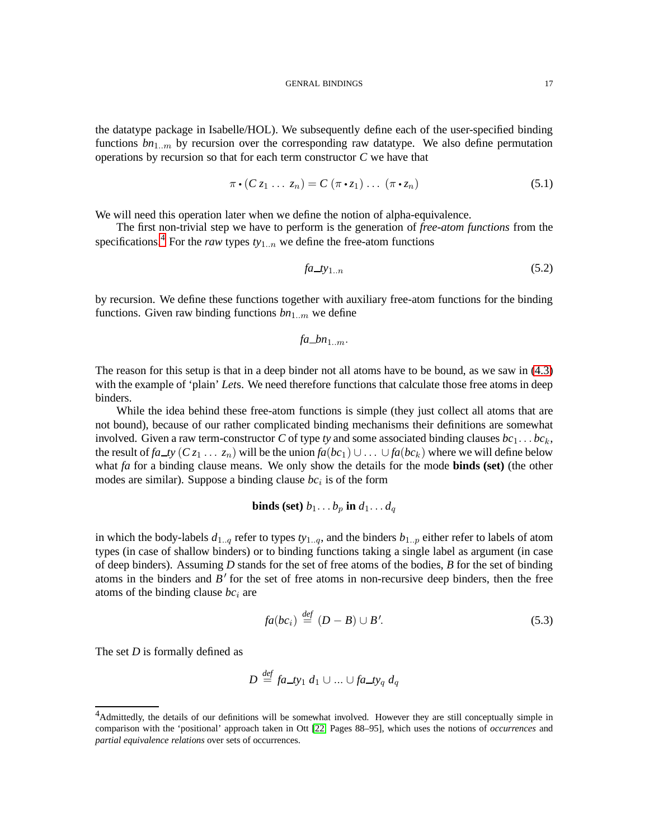the datatype package in Isabelle/HOL). We subsequently define each of the user-specified binding functions  $bn_{1..m}$  by recursion over the corresponding raw datatype. We also define permutation operations by recursion so that for each term constructor *C* we have that

<span id="page-16-2"></span>
$$
\pi \cdot (C z_1 \ldots z_n) = C (\pi \cdot z_1) \ldots (\pi \cdot z_n)
$$
\n(5.1)

We will need this operation later when we define the notion of alpha-equivalence.

The first non-trivial step we have to perform is the generation of *free-atom functions* from the specifications.<sup>[4](#page-16-0)</sup> For the *raw* types  $t_{y_{1..n}}$  we define the free-atom functions

$$
fa\_ty_{1..n} \tag{5.2}
$$

by recursion. We define these functions together with auxiliary free-atom functions for the binding functions. Given raw binding functions  $bn_{1..m}$  we define

$$
fa\_bn_{1..m}
$$
.

The reason for this setup is that in a deep binder not all atoms have to be bound, as we saw in [\(4.3\)](#page-14-1) with the example of 'plain' *Let*s. We need therefore functions that calculate those free atoms in deep binders.

While the idea behind these free-atom functions is simple (they just collect all atoms that are not bound), because of our rather complicated binding mechanisms their definitions are somewhat involved. Given a raw term-constructor *C* of type *ty* and some associated binding clauses  $bc_1 \ldots bc_k$ , the result of *fa\_ty* ( $C z_1 ... z_n$ ) will be the union  $fa(bc_1) \cup ... \cup fa(bc_k)$  where we will define below what *fa* for a binding clause means. We only show the details for the mode **binds (set)** (the other modes are similar). Suppose a binding clause  $bc<sub>i</sub>$  is of the form

## **binds (set)**  $b_1 \ldots b_p$  **in**  $d_1 \ldots d_q$

in which the body-labels  $d_{1..q}$  refer to types  $ty_{1..q}$ , and the binders  $b_{1..p}$  either refer to labels of atom types (in case of shallow binders) or to binding functions taking a single label as argument (in case of deep binders). Assuming *D* stands for the set of free atoms of the bodies, *B* for the set of binding atoms in the binders and  $\overline{B}$ <sup>'</sup> for the set of free atoms in non-recursive deep binders, then the free atoms of the binding clause  $bc_i$  are

<span id="page-16-1"></span>
$$
fa(bc_i) \stackrel{def}{=} (D - B) \cup B'. \tag{5.3}
$$

The set *D* is formally defined as

$$
D \stackrel{\text{def}}{=} \text{fa\_ty}_1 \, d_1 \cup \ldots \cup \text{fa\_ty}_q \, d_q
$$

<span id="page-16-0"></span><sup>4</sup>Admittedly, the details of our definitions will be somewhat involved. However they are still conceptually simple in comparison with the 'positional' approach taken in Ott [\[22,](#page-34-7) Pages 88–95], which uses the notions of *occurrences* and *partial equivalence relations* over sets of occurrences.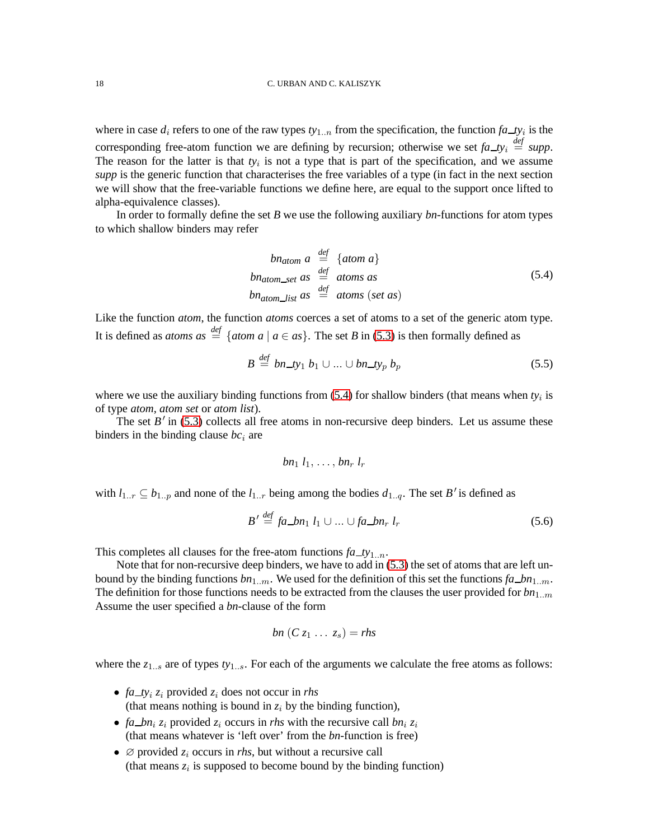where in case  $d_i$  refers to one of the raw types  $t_{y1..n}$  from the specification, the function  $fa\_\text{ty}_i$  is the corresponding free-atom function we are defining by recursion; otherwise we set  $fa\_{ty} \stackrel{def}{=} supp$ . The reason for the latter is that  $ty_i$  is not a type that is part of the specification, and we assume *supp* is the generic function that characterises the free variables of a type (in fact in the next section we will show that the free-variable functions we define here, are equal to the support once lifted to alpha-equivalence classes).

In order to formally define the set *B* we use the following auxiliary *bn*-functions for atom types to which shallow binders may refer

<span id="page-17-0"></span>
$$
bn_{atom} \ a \stackrel{def}{=} \{atom \ a\}
$$
  

$$
bn_{atom\_set} \ as \stackrel{def}{=} atoms \ as
$$
  

$$
bn_{atom\_list} \ as \stackrel{def}{=} atoms (set \ as)
$$
  

$$
(5.4)
$$

Like the function *atom*, the function *atoms* coerces a set of atoms to a set of the generic atom type. It is defined as *atoms*  $as \stackrel{def}{=} \{atom \ a \mid a \in as\}$ . The set *B* in [\(5.3\)](#page-16-1) is then formally defined as

*def*

$$
B \stackrel{\text{def}}{=} bn\_ty_1 b_1 \cup \ldots \cup bn\_ty_p b_p \tag{5.5}
$$

where we use the auxiliary binding functions from  $(5.4)$  for shallow binders (that means when  $ty_i$  is of type *atom*, *atom set* or *atom list*).

The set  $B'$  in [\(5.3\)](#page-16-1) collects all free atoms in non-recursive deep binders. Let us assume these binders in the binding clause  $bc<sub>i</sub>$  are

$$
bn_1 l_1, \ldots, bn_r l_r
$$

with  $l_{1..r} \subseteq b_{1..p}$  and none of the  $l_{1..r}$  being among the bodies  $d_{1..q}$ . The set *B*' is defined as

$$
B' \stackrel{\text{def}}{=} fa\_bn_1 l_1 \cup \dots \cup fa\_bn_r l_r \tag{5.6}
$$

This completes all clauses for the free-atom functions  $fa_t y_{1..n}$ .

Note that for non-recursive deep binders, we have to add in [\(5.3\)](#page-16-1) the set of atoms that are left unbound by the binding functions  $bn_{1..m}$ . We used for the definition of this set the functions  $fa\_bn_{1..m}$ . The definition for those functions needs to be extracted from the clauses the user provided for  $bn_{1..m}$ Assume the user specified a *bn*-clause of the form

$$
bn(C z_1 \ldots z_s) = rhs
$$

where the  $z_{1..s}$  are of types  $ty_{1..s}$ . For each of the arguments we calculate the free atoms as follows:

- $fa_{ty_i} z_i$  provided  $z_i$  does not occur in *rhs* (that means nothing is bound in  $z_i$  by the binding function),
- *fa bn*<sub>i</sub>  $z_i$  provided  $z_i$  occurs in *rhs* with the recursive call *bn*<sub>i</sub>  $z_i$ (that means whatever is 'left over' from the *bn*-function is free)
- $\emptyset$  provided  $z_i$  occurs in *rhs*, but without a recursive call (that means  $z_i$  is supposed to become bound by the binding function)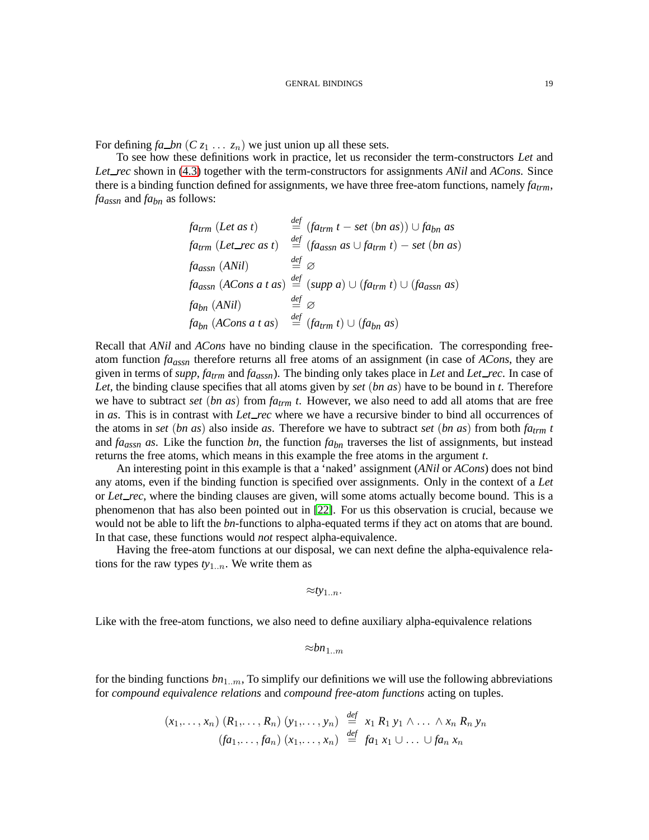For defining  $fa\_bn$  ( $Cz_1 \ldots z_n$ ) we just union up all these sets.

To see how these definitions work in practice, let us reconsider the term-constructors *Let* and *Let rec* shown in [\(4.3\)](#page-14-1) together with the term-constructors for assignments *ANil* and *ACons*. Since there is a binding function defined for assignments, we have three free-atom functions, namely *fatrm*, *faassn* and *fabn* as follows:

$$
f_{a\ell r m} (Let as t) \stackrel{def}{=} (f_{a\ell r m} t - set (bn as)) \cup f_{a\ell m} as
$$
  
\n
$$
f_{a\ell r m} (Let\_rec as t) \stackrel{def}{=} (f_{a\ell s s n} as \cup f_{a\ell r m} t) - set (bn as)
$$
  
\n
$$
f_{a\ell s s n} (ANil) \stackrel{def}{=} \varnothing
$$
  
\n
$$
f_{a\ell s s n} (A\ell s s) \stackrel{def}{=} (supp a) \cup (f_{a\ell r m} t) \cup (f_{a\ell s s n} as)
$$
  
\n
$$
f_{a\ell m} (ANil) \stackrel{def}{=} \varnothing
$$
  
\n
$$
f_{a\ell m} (A\ell s s) \stackrel{def}{=} (f_{a\ell r m} t) \cup (f_{a\ell m} as)
$$

Recall that *ANil* and *ACons* have no binding clause in the specification. The corresponding freeatom function *faassn* therefore returns all free atoms of an assignment (in case of *ACons*, they are given in terms of *supp*, *fatrm* and *faassn*). The binding only takes place in *Let* and *Let rec*. In case of *Let*, the binding clause specifies that all atoms given by *set* (*bn as*) have to be bound in *t*. Therefore we have to subtract *set* (*bn as*) from *fatrm t*. However, we also need to add all atoms that are free in *as*. This is in contrast with *Let rec* where we have a recursive binder to bind all occurrences of the atoms in *set* (*bn as*) also inside *as*. Therefore we have to subtract *set* (*bn as*) from both *fatrm t* and *faassn as*. Like the function *bn*, the function *fabn* traverses the list of assignments, but instead returns the free atoms, which means in this example the free atoms in the argument *t*.

An interesting point in this example is that a 'naked' assignment (*ANil* or *ACons*) does not bind any atoms, even if the binding function is specified over assignments. Only in the context of a *Let* or *Let rec*, where the binding clauses are given, will some atoms actually become bound. This is a phenomenon that has also been pointed out in [\[22\]](#page-34-7). For us this observation is crucial, because we would not be able to lift the *bn*-functions to alpha-equated terms if they act on atoms that are bound. In that case, these functions would *not* respect alpha-equivalence.

Having the free-atom functions at our disposal, we can next define the alpha-equivalence relations for the raw types  $ty_{1..n}$ . We write them as

 $≈ty_{1..n}.$ 

Like with the free-atom functions, we also need to define auxiliary alpha-equivalence relations

≈*bn*1..m

for the binding functions  $bn_{1..m}$ , To simplify our definitions we will use the following abbreviations for *compound equivalence relations* and *compound free-atom functions* acting on tuples.

$$
(x_1,\ldots,x_n) (R_1,\ldots,R_n) (y_1,\ldots,y_n) \stackrel{\text{def}}{=} x_1 R_1 y_1 \wedge \ldots \wedge x_n R_n y_n
$$
  

$$
(fa_1,\ldots,fa_n) (x_1,\ldots,x_n) \stackrel{\text{def}}{=} fa_1 x_1 \cup \ldots \cup fa_n x_n
$$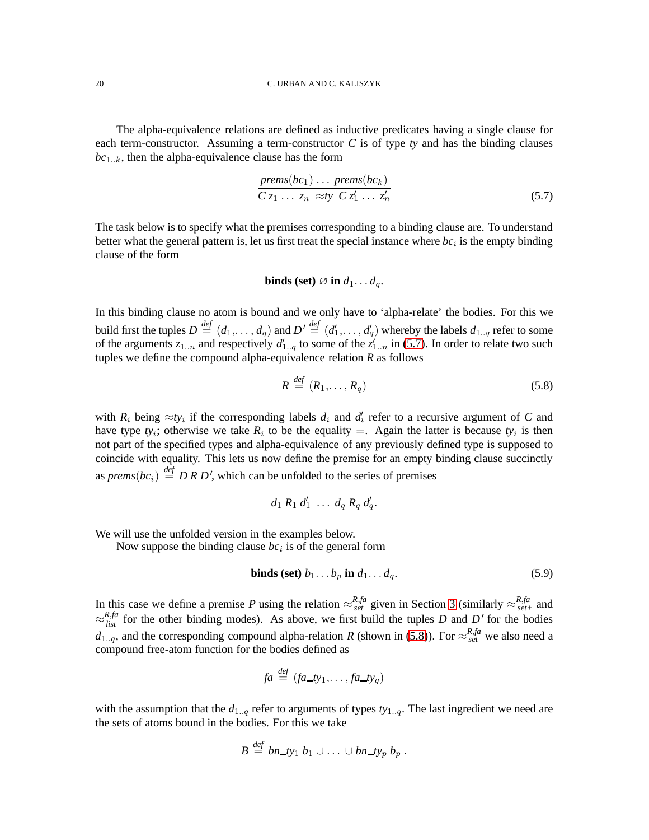The alpha-equivalence relations are defined as inductive predicates having a single clause for each term-constructor. Assuming a term-constructor *C* is of type *ty* and has the binding clauses *bc*1..k, then the alpha-equivalence clause has the form

<span id="page-19-0"></span>
$$
\frac{prems(bc_1)\dots prems(bc_k)}{Cz_1\dots z_n \approx ty \ Cz'_1\dots z'_n}
$$
\n(5.7)

The task below is to specify what the premises corresponding to a binding clause are. To understand better what the general pattern is, let us first treat the special instance where  $bc<sub>i</sub>$  is the empty binding clause of the form

**binds** (set) 
$$
\varnothing
$$
 in  $d_1 \dots d_q$ .

In this binding clause no atom is bound and we only have to 'alpha-relate' the bodies. For this we build first the tuples  $D\stackrel{def}{=} (d_1,\ldots,d_q)$  and  $D'\stackrel{def}{=} (d_1',\ldots,d_q')$  whereby the labels  $d_{1..q}$  refer to some of the arguments  $z_{1..n}$  and respectively  $d'_{1..q}$  to some of the  $z'_{1..n}$  in [\(5.7\)](#page-19-0). In order to relate two such tuples we define the compound alpha-equivalence relation *R* as follows

<span id="page-19-1"></span>
$$
R \stackrel{\text{def}}{=} (R_1, \dots, R_q) \tag{5.8}
$$

with  $R_i$  being  $\approx t y_i$  if the corresponding labels  $d_i$  and  $d'_i$  refer to a recursive argument of *C* and have type  $ty_i$ ; otherwise we take  $R_i$  to be the equality  $=$ . Again the latter is because  $ty_i$  is then not part of the specified types and alpha-equivalence of any previously defined type is supposed to coincide with equality. This lets us now define the premise for an empty binding clause succinctly as *prems*(*bc*<sub>i</sub>)  $\stackrel{\text{def}}{=}$  *D R D'*, which can be unfolded to the series of premises

$$
d_1 R_1 d_1' \ldots d_q R_q d_q'.
$$

We will use the unfolded version in the examples below.

Now suppose the binding clause  $bc<sub>i</sub>$  is of the general form

**binds (set)** 
$$
b_1 \dots b_p
$$
 **in**  $d_1 \dots d_q$ . (5.9)

In this case we define a premise *P* using the relation  $\approx_{set}^{R,fa}$  given in Section [3](#page-8-2) (similarly  $\approx_{set}^{R,fa}$  and  $\approx_{list}^{R,fa}$  for the other binding modes). As above, we first build the tuples *D* and *D'* for the bodies  $d_{1..q}$ , and the corresponding compound alpha-relation *R* (shown in [\(5.8\)](#page-19-1)). For  $\approx_{set}^{R,fa}$  we also need a compound free-atom function for the bodies defined as

$$
fa \stackrel{\text{def}}{=} (fa\_ty_1, \ldots, fa\_ty_q)
$$

with the assumption that the  $d_{1..q}$  refer to arguments of types  $t y_{1..q}$ . The last ingredient we need are the sets of atoms bound in the bodies. For this we take

$$
B \stackrel{\text{def}}{=} \text{bn\_ty}_1 \ b_1 \cup \ldots \cup \text{bn\_ty}_p \ b_p \ .
$$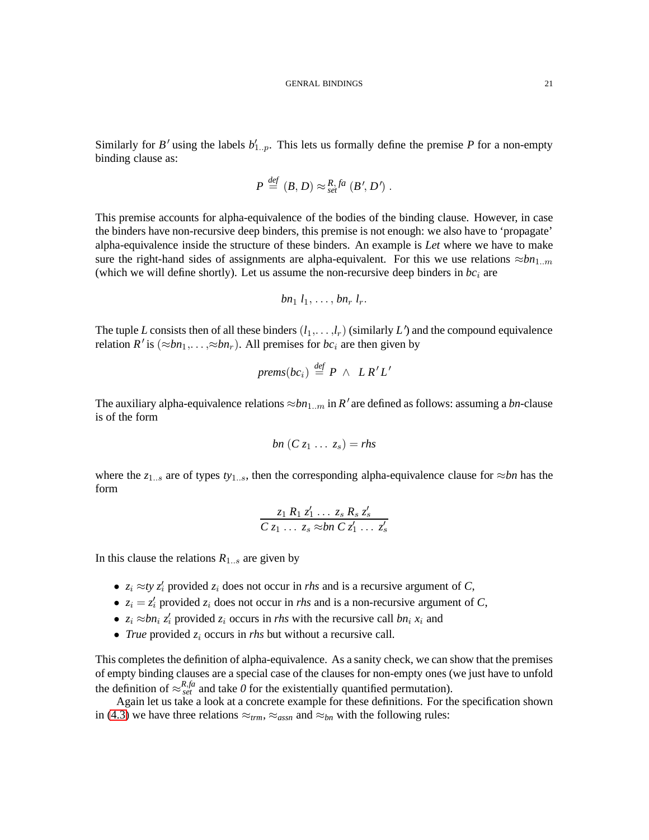Similarly for *B*<sup> $\prime$ </sup> using the labels  $b'_{1..p}$ . This lets us formally define the premise *P* for a non-empty binding clause as:

$$
P \stackrel{\text{def}}{=} (B, D) \approx_{\text{set}}^{R,fa} (B', D').
$$

This premise accounts for alpha-equivalence of the bodies of the binding clause. However, in case the binders have non-recursive deep binders, this premise is not enough: we also have to 'propagate' alpha-equivalence inside the structure of these binders. An example is *Let* where we have to make sure the right-hand sides of assignments are alpha-equivalent. For this we use relations  $\approx b n_{1..m}$ (which we will define shortly). Let us assume the non-recursive deep binders in  $bc_i$  are

$$
bn_1 l_1, \ldots, bn_r l_r.
$$

The tuple *L* consists then of all these binders  $(l_1, \ldots, l_r)$  (similarly *L*<sup> $\prime$ </sup>) and the compound equivalence relation  $R'$  is  $(\approx bn_1, \ldots, \approx bn_r)$ . All premises for  $bc_i$  are then given by

$$
prems(bc_i) \stackrel{\textit{def}}{=} P \wedge LR'L'
$$

The auxiliary alpha-equivalence relations  $\approx b n_{1..m}$  in *R'* are defined as follows: assuming a *bn*-clause is of the form

$$
bn(C z_1 \ldots z_s) = rhs
$$

where the  $z_{1...s}$  are of types  $ty_{1...s}$ , then the corresponding alpha-equivalence clause for  $\approx$ *bn* has the form

$$
\frac{z_1 R_1 z_1' \ldots z_s R_s z_s'}{C z_1 \ldots z_s \approx b n C z_1' \ldots z_s'}
$$

In this clause the relations  $R_{1...s}$  are given by

- $z_i \approx t y z'_i$  provided  $z_i$  does not occur in *rhs* and is a recursive argument of *C*,
- $z_i = z'_i$  provided  $z_i$  does not occur in *rhs* and is a non-recursive argument of *C*,
- $z_i \approx bn_i$   $z'_i$  provided  $z_i$  occurs in *rhs* with the recursive call  $bn_i$   $x_i$  and
- *True* provided  $z_i$  occurs in *rhs* but without a recursive call.

This completes the definition of alpha-equivalence. As a sanity check, we can show that the premises of empty binding clauses are a special case of the clauses for non-empty ones (we just have to unfold the definition of  $\approx_{set}^{R,fa}$  and take *0* for the existentially quantified permutation).

Again let us take a look at a concrete example for these definitions. For the specification shown in [\(4.3\)](#page-14-1) we have three relations  $\approx_{trm}$ ,  $\approx_{assn}$  and  $\approx_{bn}$  with the following rules: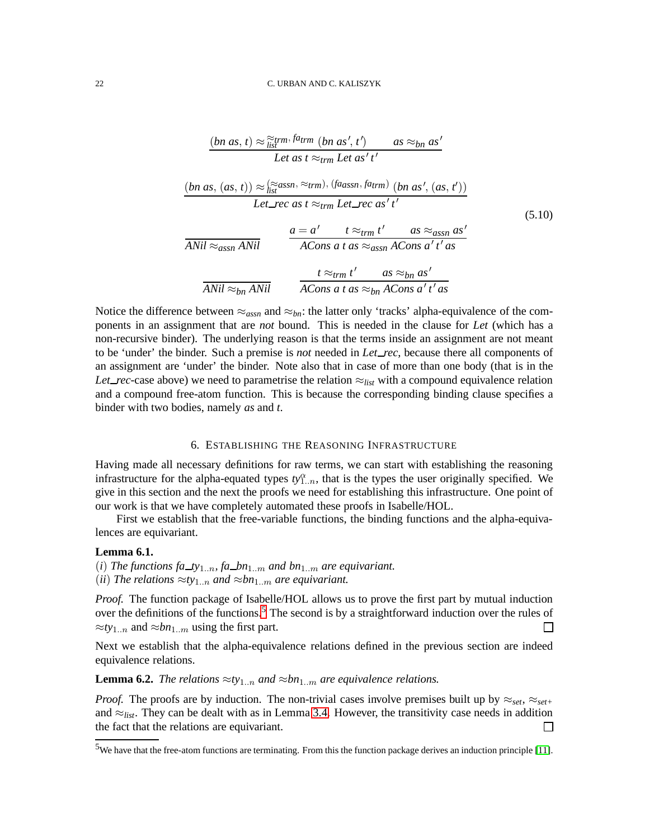<span id="page-21-2"></span>
$$
\frac{(bn \ as, t) \approx \frac{\approx_{trmr}}{\text{list}} \sin \theta_{trm} \ (bn \ as', t') \quad as \approx_{bn} \ as''}{\text{Let as } t \approx_{trm} \text{Let as'} t'}
$$
\n
$$
(bn \ as, (as, t)) \approx \frac{(\approx_{dsm} \times_{trmm} \text{Let as'} t')}{\text{list}} \text{Set\_rec as } t \approx_{trm} \text{Let\_rec as'} t'
$$
\n
$$
\overbrace{ANil \approx_{assn} \text{ANil}}^{A Nil} \quad \overbrace{ACons \ a \ t \ as \approx_{assn} \text{ACons } a' \ t' \ as}^{A Nil} \quad \overbrace{ACons \ a \ t \ as \approx_{assn} \text{ACons } a' \ t' \ as}^{A Nil} \quad \overbrace{ACons \ a \ t \ as \approx_{bn} \ as' \atop A Cons \ a' \ t' \ as}^{A Nil} \quad \overbrace{ACons \ a \ t \ as \approx_{bn} \text{ACons } a' \ t' \ as}^{A Nil}
$$
\n
$$
(5.10)
$$

Notice the difference between  $\approx_{asyn}$  and  $\approx_{bn}$ : the latter only 'tracks' alpha-equivalence of the components in an assignment that are *not* bound. This is needed in the clause for *Let* (which has a non-recursive binder). The underlying reason is that the terms inside an assignment are not meant to be 'under' the binder. Such a premise is *not* needed in *Let rec*, because there all components of an assignment are 'under' the binder. Note also that in case of more than one body (that is in the *Let rec*-case above) we need to parametrise the relation  $\approx_{list}$  with a compound equivalence relation and a compound free-atom function. This is because the corresponding binding clause specifies a binder with two bodies, namely *as* and *t*.

#### 6. ESTABLISHING THE REASONING INFRASTRUCTURE

Having made all necessary definitions for raw terms, we can start with establishing the reasoning infrastructure for the alpha-equated types  $ty_{1..n}^{\alpha}$ , that is the types the user originally specified. We give in this section and the next the proofs we need for establishing this infrastructure. One point of our work is that we have completely automated these proofs in Isabelle/HOL.

First we establish that the free-variable functions, the binding functions and the alpha-equivalences are equivariant.

#### **Lemma 6.1.**

- (*i*) The functions fa\_ty<sub>1..n</sub>, fa\_bn<sub>1.m</sub> and bn<sub>1.m</sub> are equivariant.
- (*ii*) *The relations*  $\approx$ *ty*<sub>1..n</sub> *and*  $\approx$ *bn*<sub>1..m</sub> *are equivariant.*

*Proof.* The function package of Isabelle/HOL allows us to prove the first part by mutual induction over the definitions of the functions.<sup>[5](#page-21-0)</sup> The second is by a straightforward induction over the rules of  $\approx t y_{1..n}$  and  $\approx b n_{1..m}$  using the first part. П

Next we establish that the alpha-equivalence relations defined in the previous section are indeed equivalence relations.

<span id="page-21-1"></span>**Lemma 6.2.** *The relations*  $\approx t y_{1..n}$  *and*  $\approx b n_{1..m}$  *are equivalence relations.* 

*Proof.* The proofs are by induction. The non-trivial cases involve premises built up by  $\approx_{set}$ ,  $\approx_{set}$ and  $\approx_{list}$ . They can be dealt with as in Lemma [3.4.](#page-9-2) However, the transitivity case needs in addition the fact that the relations are equivariant.  $\Box$ 

<span id="page-21-0"></span><sup>&</sup>lt;sup>5</sup>We have that the free-atom functions are terminating. From this the function package derives an induction principle [\[11\]](#page-33-8).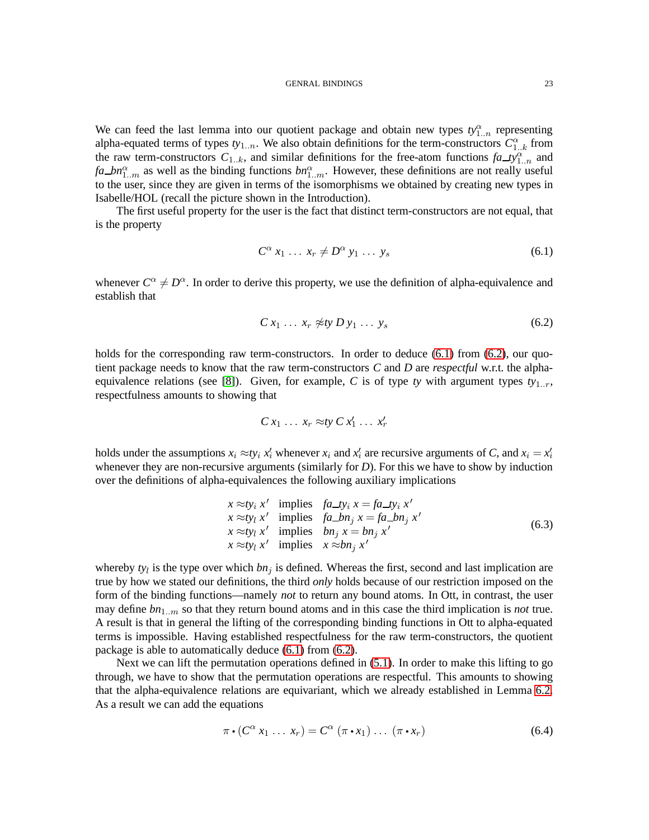We can feed the last lemma into our quotient package and obtain new types  $ty_{1..n}^{\alpha}$  representing alpha-equated terms of types  $ty_{1..n}$ . We also obtain definitions for the term-constructors  $C_{1..k}^{\alpha}$  from the raw term-constructors  $C_{1..k}$ , and similar definitions for the free-atom functions  $fa\_\mathcal{D}^\alpha_{1..n}$  and *fa bn*<sub>1</sub><sup> $\alpha$ </sup> as well as the binding functions *bn*<sub>1</sub><sup> $\alpha$ </sup><sub>1</sub>. However, these definitions are not really useful to the user, since they are given in terms of the isomorphisms we obtained by creating new types in Isabelle/HOL (recall the picture shown in the Introduction).

The first useful property for the user is the fact that distinct term-constructors are not equal, that is the property

<span id="page-22-0"></span>
$$
C^{\alpha} x_1 \ldots x_r \neq D^{\alpha} y_1 \ldots y_s \tag{6.1}
$$

whenever  $C^{\alpha} \neq D^{\alpha}$ . In order to derive this property, we use the definition of alpha-equivalence and establish that

<span id="page-22-1"></span>
$$
C x_1 \ldots x_r \not\approx t y D y_1 \ldots y_s \tag{6.2}
$$

holds for the corresponding raw term-constructors. In order to deduce [\(6.1\)](#page-22-0) from [\(6.2\)](#page-22-1), our quotient package needs to know that the raw term-constructors *C* and *D* are *respectful* w.r.t. the alpha-equivalence relations (see [\[8\]](#page-33-7)). Given, for example, C is of type *ty* with argument types  $t_{y_1}$ . respectfulness amounts to showing that

$$
C x_1 \ldots x_r \approx t y C x'_1 \ldots x'_r
$$

holds under the assumptions  $x_i \approx t y_i x_i'$  whenever  $x_i$  and  $x_i'$  are recursive arguments of *C*, and  $x_i = x_i'$ whenever they are non-recursive arguments (similarly for *D*). For this we have to show by induction over the definitions of alpha-equivalences the following auxiliary implications

$$
x \approx ty_i x' \text{ implies } fa\_ty_i x = fa\_ty_i x' \n x \approx ty_l x' \text{ implies } fa\_bn_j x = fa\_bn_j x' \n x \approx ty_l x' \text{ implies } bn_j x = bn_j x' \n x \approx ty_l x' \text{ implies } x \approx bn_j x' \tag{6.3}
$$

whereby  $ty_l$  is the type over which  $bn_j$  is defined. Whereas the first, second and last implication are true by how we stated our definitions, the third *only* holds because of our restriction imposed on the form of the binding functions—namely *not* to return any bound atoms. In Ott, in contrast, the user may define *bn*1..m so that they return bound atoms and in this case the third implication is *not* true. A result is that in general the lifting of the corresponding binding functions in Ott to alpha-equated terms is impossible. Having established respectfulness for the raw term-constructors, the quotient package is able to automatically deduce [\(6.1\)](#page-22-0) from [\(6.2\)](#page-22-1).

Next we can lift the permutation operations defined in [\(5.1\)](#page-16-2). In order to make this lifting to go through, we have to show that the permutation operations are respectful. This amounts to showing that the alpha-equivalence relations are equivariant, which we already established in Lemma [6.2.](#page-21-1) As a result we can add the equations

<span id="page-22-2"></span>
$$
\pi \cdot (C^{\alpha} x_1 \dots x_r) = C^{\alpha} (\pi \cdot x_1) \dots (\pi \cdot x_r)
$$
 (6.4)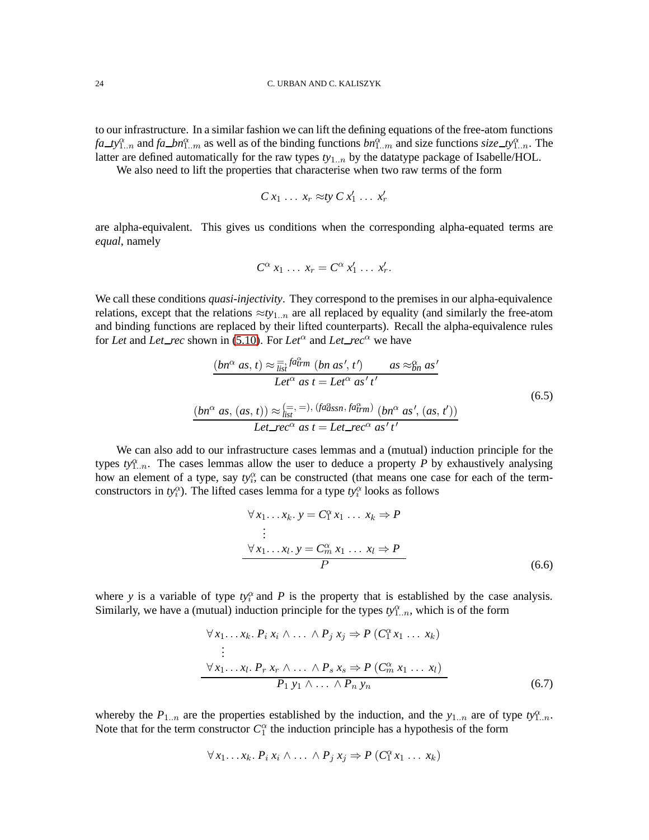to our infrastructure. In a similar fashion we can lift the defining equations of the free-atom functions *fa ty*<sup>α</sup><sub>*n*</sub></sub> and *fa bn*<sup>α</sup><sub>*n*</sub></sub> as well as of the binding functions *bn*<sup>α</sup><sub>*n*</sub></sub> and size functions *size ty*<sup>α</sup><sub>*n*</sub></sub>. The latter are defined automatically for the raw types *ty*1..n by the datatype package of Isabelle/HOL.

We also need to lift the properties that characterise when two raw terms of the form

$$
C x_1 \ldots x_r \approx t y C x'_1 \ldots x'_r
$$

are alpha-equivalent. This gives us conditions when the corresponding alpha-equated terms are *equal*, namely

$$
C^{\alpha} x_1 \ldots x_r = C^{\alpha} x'_1 \ldots x'_r.
$$

We call these conditions *quasi-injectivity*. They correspond to the premises in our alpha-equivalence relations, except that the relations ≈*ty*1..n are all replaced by equality (and similarly the free-atom and binding functions are replaced by their lifted counterparts). Recall the alpha-equivalence rules for *Let* and *Let\_rec* shown in [\(5.10\)](#page-21-2). For *Let*<sup> $\alpha$ </sup> and *Let\_rec*<sup> $\alpha$ </sup> we have

=, *fa*<sup>α</sup>

<span id="page-23-2"></span>
$$
\frac{(bn^{\alpha} \ as, t) \approx \overline{\overline{t}}_{list}^{T} \nbinom{a}{m} \ (bn \ as', t') \qquad \text{as} \approx \overline{\overline{b}}_{nn} \ as' \ a' \text{as} \atop \text{Let}^{\alpha} \text{ as } t = \text{Let}^{\alpha} \ as' t' \tag{6.5}
$$
\n
$$
\frac{(bn^{\alpha} \ as, (as, t)) \approx (\overline{t} - t^{-1}) \cdot (\text{fa}^{\alpha}_{\text{ass}, n} \text{fa}^{\alpha}_{\text{tr}})}{(bn^{\alpha} \ as', (as, t'))} \text{Let } \text{tree}^{\alpha} \text{ as } t = \text{Let } \text{tree}^{\alpha} \text{ as'} t'
$$

We can also add to our infrastructure cases lemmas and a (mutual) induction principle for the types  $ty_{1..n}^{\alpha}$ . The cases lemmas allow the user to deduce a property *P* by exhaustively analysing how an element of a type, say  $ty_i^{\alpha}$ , can be constructed (that means one case for each of the termconstructors in  $ty_i^{\alpha}$ ). The lifted cases lemma for a type  $ty_i^{\alpha}$  looks as follows

<span id="page-23-0"></span>
$$
\forall x_1 \dots x_k. \ y = C_1^{\alpha} x_1 \dots x_k \Rightarrow P
$$
  
\n
$$
\vdots
$$
  
\n
$$
\forall x_1 \dots x_l. \ y = C_m^{\alpha} x_1 \dots x_l \Rightarrow P
$$
  
\n
$$
P
$$
\n(6.6)

where *y* is a variable of type  $ty_i^{\alpha}$  and *P* is the property that is established by the case analysis. Similarly, we have a (mutual) induction principle for the types  $ty_{1..n}^{\alpha}$ , which is of the form

<span id="page-23-1"></span>
$$
\forall x_1 \dots x_k. \ P_i \ x_i \land \dots \land P_j \ x_j \Rightarrow P \ (C_1^{\alpha} x_1 \dots x_k)
$$
  
\n
$$
\vdots
$$
  
\n
$$
\forall x_1 \dots x_l. \ P_r \ x_r \land \dots \land P_s \ x_s \Rightarrow P \ (C_m^{\alpha} x_1 \dots x_l)
$$
  
\n
$$
P_1 \ y_1 \land \dots \land P_n \ y_n
$$
\n(6.7)

whereby the  $P_{1..n}$  are the properties established by the induction, and the  $y_{1..n}$  are of type  $ty_{1..n}^{\alpha}$ . Note that for the term constructor  $C_1^{\alpha}$  the induction principle has a hypothesis of the form

$$
\forall x_1 \ldots x_k \ldotp P_i x_i \land \ldots \land P_j x_j \Rightarrow P \ (C_1^{\alpha} x_1 \ldots x_k)
$$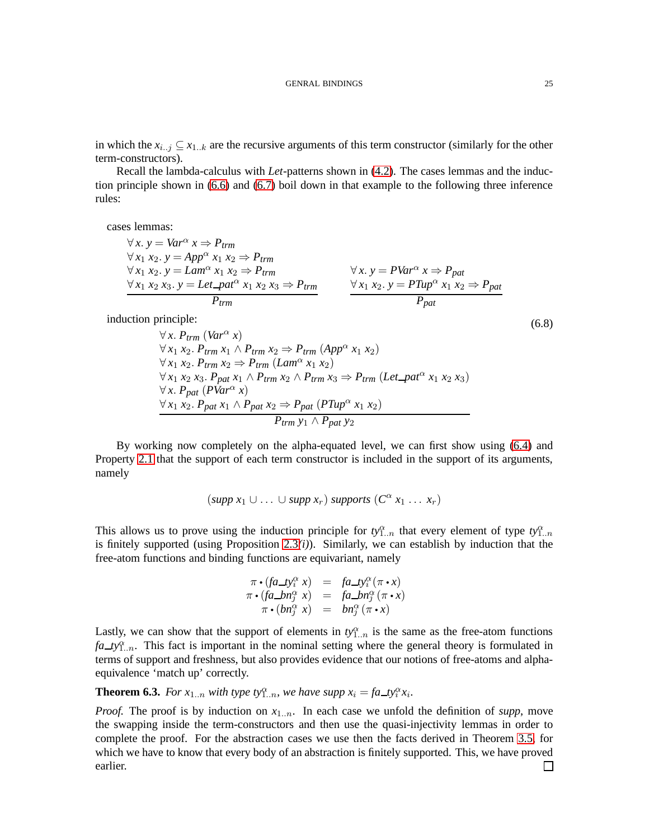Recall the lambda-calculus with *Let*-patterns shown in [\(4.2\)](#page-13-0). The cases lemmas and the induction principle shown in [\(6.6\)](#page-23-0) and [\(6.7\)](#page-23-1) boil down in that example to the following three inference rules:

cases lemmas:

$$
\forall x. y = Var^{\alpha} x \Rightarrow P_{trm}
$$
  
\n
$$
\forall x_1 x_2. y = App^{\alpha} x_1 x_2 \Rightarrow P_{trm}
$$
  
\n
$$
\forall x_1 x_2. y = Lam^{\alpha} x_1 x_2 \Rightarrow P_{trm}
$$
  
\n
$$
\forall x_1 x_2 x_3. y = Let\_pat^{\alpha} x_1 x_2 x_3 \Rightarrow P_{trm}
$$
  
\n
$$
\forall x. y = PVar^{\alpha} x \Rightarrow P_{pat}
$$
  
\n
$$
\forall x_1 x_2. y = PTup^{\alpha} x_1 x_2 \Rightarrow P_{pat}
$$
  
\n
$$
\forall x_1 x_2. y = PTup^{\alpha} x_1 x_2 \Rightarrow P_{pat}
$$
  
\n
$$
\forall x_1 x_2. y = PTup^{\alpha} x_1 x_2 \Rightarrow P_{pat}
$$

<span id="page-24-0"></span>induction principle:

 $∀ x. P_{trm} (Var^{\alpha} x)$  $∀ x_1 x_2. P_{trm} x_1 ∧ P_{trm} x_2 ⇒ P_{trm} (App^{\alpha} x_1 x_2)$  $∀ x_1 x_2. P_{trm} x_2 ⇒ P_{trm} (Lam^\alpha x_1 x_2)$  $∀ x_1 x_2 x_3. P_{pat} x_1 ∧ P_{trm} x_2 ∧ P_{trm} x_3 ⇒ P_{trm} (Let$  $∀ x. P_{pat} (PVar<sup>α</sup> x)$ ∀ *x*<sub>1</sub> *x*<sub>2</sub>. *P*<sub>*pat*</sub> *x*<sub>1</sub>  $\land$  *P*<sub>*pat*</sub> *x*<sub>2</sub>  $\Rightarrow$  *P<sub>pat</sub>* (*PTup*<sup> $\alpha$ </sup> *x*<sub>1</sub> *x*<sub>2</sub>) *Ptrm y*<sup>1</sup> ∧ *Ppat y*<sup>2</sup>

By working now completely on the alpha-equated level, we can first show using [\(6.4\)](#page-22-2) and Property [2.1](#page-6-0) that the support of each term constructor is included in the support of its arguments, namely

$$
(supp x_1 \cup \ldots \cup supp x_r) supports (C^{\alpha} x_1 \ldots x_r)
$$

This allows us to prove using the induction principle for  $ty_{1..n}^{\alpha}$  that every element of type  $ty_{1..n}^{\alpha}$ is finitely supported (using Proposition [2.3](#page-7-3)*(i)*). Similarly, we can establish by induction that the free-atom functions and binding functions are equivariant, namely

$$
\pi \cdot (fa \_ty_i^{\alpha} x) = fa \_ty_i^{\alpha} (\pi \cdot x)
$$
  

$$
\pi \cdot (fa \_bn_j^{\alpha} x) = fa \_bn_j^{\alpha} (\pi \cdot x)
$$
  

$$
\pi \cdot (bn_j^{\alpha} x) = bn_j^{\alpha} (\pi \cdot x)
$$

Lastly, we can show that the support of elements in  $ty_{1..n}^{\alpha}$  is the same as the free-atom functions  $fa_{1} - fy_{1}^{\alpha}$ . This fact is important in the nominal setting where the general theory is formulated in terms of support and freshness, but also provides evidence that our notions of free-atoms and alphaequivalence 'match up' correctly.

<span id="page-24-1"></span>**Theorem 6.3.** *For*  $x_{1..n}$  *with type ty*<sub>1</sub><sup>*n*</sup>,*n*, *we have supp*  $x_i = fa \textbf{1} y_i^{\alpha} x_i$ *.* 

*Proof.* The proof is by induction on  $x_{1..n}$ . In each case we unfold the definition of *supp*, move the swapping inside the term-constructors and then use the quasi-injectivity lemmas in order to complete the proof. For the abstraction cases we use then the facts derived in Theorem [3.5,](#page-10-0) for which we have to know that every body of an abstraction is finitely supported. This, we have proved earlier.П

(6.8)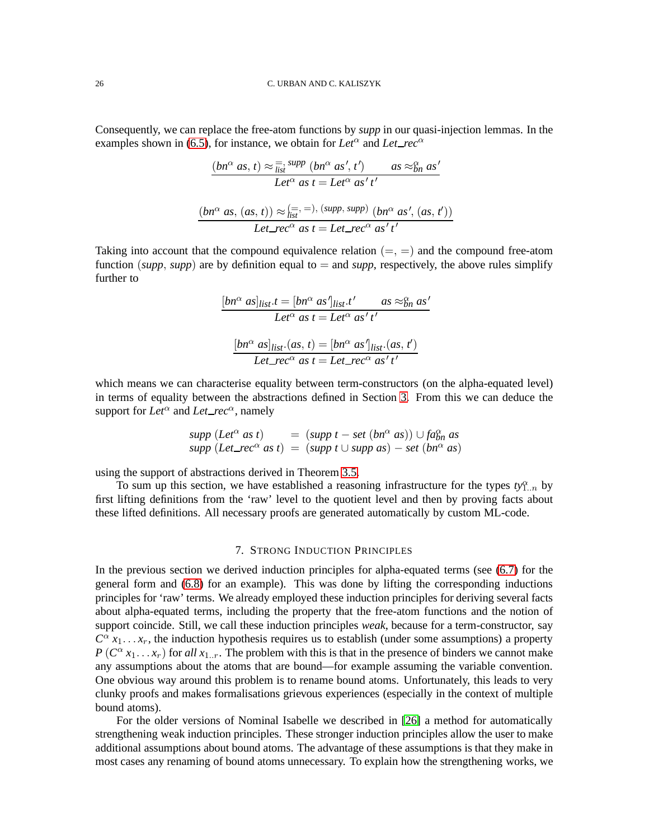Consequently, we can replace the free-atom functions by *supp* in our quasi-injection lemmas. In the examples shown in [\(6.5\)](#page-23-2), for instance, we obtain for Let<sup> $\alpha$ </sup> and Let\_rec<sup> $\alpha$ </sup>

$$
\frac{(bn^{\alpha} \text{ as}, t) \approx \frac{1}{\text{list}} \text{supp} (bn^{\alpha} \text{ as}', t') \qquad \text{as} \approx_{bn}^{\alpha} \text{as}'}{\text{Let}^{\alpha} \text{ as} t = \text{Let}^{\alpha} \text{ as}' t'}
$$
\n
$$
\frac{(bn^{\alpha} \text{ as}, (as, t)) \approx_{\text{list}}^{(=,-)} , (\text{supp}, \text{supp}) (bn^{\alpha} \text{ as}', (as, t'))}{\text{Let\_rec}^{\alpha} \text{ as} t = \text{Let\_rec}^{\alpha} \text{ as}' t'}
$$

Taking into account that the compound equivalence relation  $(=, =)$  and the compound free-atom function (*supp*, *supp*) are by definition equal to  $=$  and *supp*, respectively, the above rules simplify further to

$$
\frac{[bn^{\alpha} \; as]_{list}.t = [bn^{\alpha} \; as']_{list}.t' \qquad as \approx_{bn}^{\alpha} \; as'}{Let^{\alpha} \; as \; t = Let^{\alpha} \; as' \; t'}
$$

$$
\frac{[bn^{\alpha} \; as]_{list}.(as, \; t) = [bn^{\alpha} \; as']_{list}.(as, \; t')}{Let\_rec^{\alpha} \; as \; t = Let\_rec^{\alpha} \; as' \; t'}
$$

which means we can characterise equality between term-constructors (on the alpha-equated level) in terms of equality between the abstractions defined in Section [3.](#page-8-2) From this we can deduce the support for  $Let^{\alpha}$  and  $Let\_rec^{\alpha}$ , namely

$$
supp (Let\alpha as t) = (supp t - set (bn\alpha as)) \cup fa\alpha assupp (Let-rec\alpha as t) = (supp t \cup supp as) - set (bn\alpha as)
$$

using the support of abstractions derived in Theorem [3.5.](#page-10-0)

To sum up this section, we have established a reasoning infrastructure for the types  $ty_{1..n}^{\alpha}$  by first lifting definitions from the 'raw' level to the quotient level and then by proving facts about these lifted definitions. All necessary proofs are generated automatically by custom ML-code.

### 7. STRONG INDUCTION PRINCIPLES

In the previous section we derived induction principles for alpha-equated terms (see [\(6.7\)](#page-23-1) for the general form and [\(6.8\)](#page-24-0) for an example). This was done by lifting the corresponding inductions principles for 'raw' terms. We already employed these induction principles for deriving several facts about alpha-equated terms, including the property that the free-atom functions and the notion of support coincide. Still, we call these induction principles *weak*, because for a term-constructor, say  $C^{\alpha} x_1 \dots x_r$ , the induction hypothesis requires us to establish (under some assumptions) a property  $P(C^{\alpha} x_1 \ldots x_r)$  for *all*  $x_{1..r}$ . The problem with this is that in the presence of binders we cannot make any assumptions about the atoms that are bound—for example assuming the variable convention. One obvious way around this problem is to rename bound atoms. Unfortunately, this leads to very clunky proofs and makes formalisations grievous experiences (especially in the context of multiple bound atoms).

For the older versions of Nominal Isabelle we described in [\[26\]](#page-34-11) a method for automatically strengthening weak induction principles. These stronger induction principles allow the user to make additional assumptions about bound atoms. The advantage of these assumptions is that they make in most cases any renaming of bound atoms unnecessary. To explain how the strengthening works, we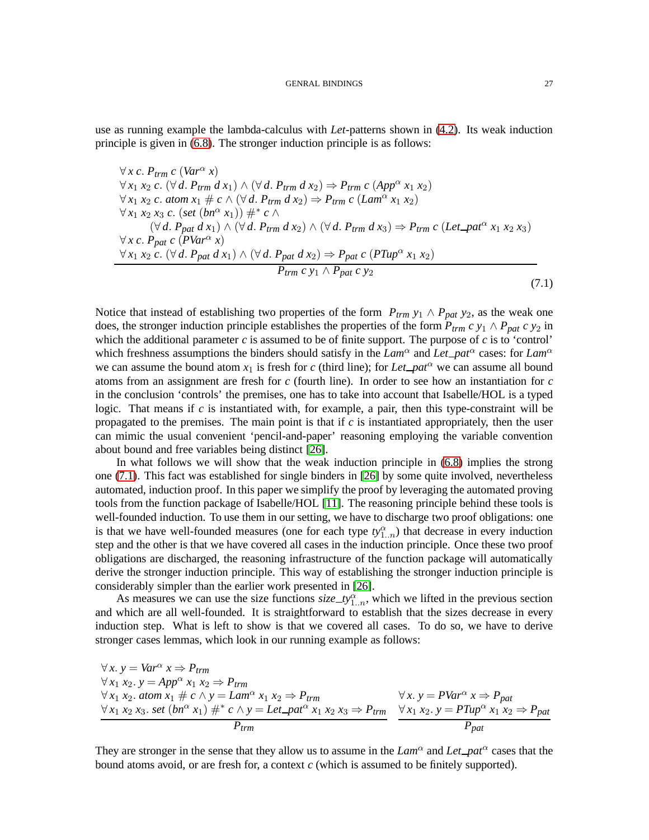use as running example the lambda-calculus with *Let*-patterns shown in [\(4.2\)](#page-13-0). Its weak induction principle is given in [\(6.8\)](#page-24-0). The stronger induction principle is as follows:

<span id="page-26-0"></span> $∀x c. P_{trm} c (Var<sup>α</sup> x)$  $∀x_1 x_2 c. (∀ d. P_{trm} d x_1) ∧ (∀ d. P_{trm} d x_2) ⇒ P_{trm} c (App<sup>α</sup> x_1 x_2)$  $∀x_1 x_2 c. atom x_1 # c ∧ (∀ d. P_{trm} d x_2) ⇒ P_{trm} c (Lam^{\alpha} x_1 x_2)$  $\forall x_1 x_2 x_3 c. (set (bn^{\alpha} x_1)) #^{\alpha} c \wedge$  $(\forall d. \ P_{pat} d x_1) \land (\forall d. \ P_{trm} d x_2) \land (\forall d. \ P_{trm} d x_3) \Rightarrow P_{trm} c (Let$ -pat<sup> $\alpha$ </sup>  $x_1 x_2 x_3)$  $∀x c. P<sub>pat</sub> c (PVar<sup>α</sup> x)$ ∀ *x*<sup>1</sup> *x*<sup>2</sup> *c*. (∀ *d*. *Ppat d x*1) ∧ (∀ *d*. *Ppat d x*2) ⇒ *Ppat c* (*PTup*<sup>α</sup> *x*<sup>1</sup> *x*2) *Ptrm c y*<sup>1</sup> ∧ *Ppat c y*<sup>2</sup> (7.1)

Notice that instead of establishing two properties of the form  $P_{trm}$   $y_1 \wedge P_{pat}$   $y_2$ , as the weak one does, the stronger induction principle establishes the properties of the form  $P_{trm} c y_1 \wedge P_{pat} c y_2$  in which the additional parameter *c* is assumed to be of finite support. The purpose of *c* is to 'control' which freshness assumptions the binders should satisfy in the *Lam*<sup> $\alpha$ </sup> and *Let*  $pat^{\alpha}$  cases: for *Lam*<sup> $\alpha$ </sup> we can assume the bound atom  $x_1$  is fresh for *c* (third line); for *Let*  $pat^\alpha$  we can assume all bound atoms from an assignment are fresh for *c* (fourth line). In order to see how an instantiation for *c* in the conclusion 'controls' the premises, one has to take into account that Isabelle/HOL is a typed logic. That means if *c* is instantiated with, for example, a pair, then this type-constraint will be propagated to the premises. The main point is that if *c* is instantiated appropriately, then the user can mimic the usual convenient 'pencil-and-paper' reasoning employing the variable convention about bound and free variables being distinct [\[26\]](#page-34-11).

In what follows we will show that the weak induction principle in [\(6.8\)](#page-24-0) implies the strong one [\(7.1\)](#page-26-0). This fact was established for single binders in [\[26\]](#page-34-11) by some quite involved, nevertheless automated, induction proof. In this paper we simplify the proof by leveraging the automated proving tools from the function package of Isabelle/HOL [\[11\]](#page-33-8). The reasoning principle behind these tools is well-founded induction. To use them in our setting, we have to discharge two proof obligations: one is that we have well-founded measures (one for each type  $ty_{1..n}^{\alpha}$ ) that decrease in every induction step and the other is that we have covered all cases in the induction principle. Once these two proof obligations are discharged, the reasoning infrastructure of the function package will automatically derive the stronger induction principle. This way of establishing the stronger induction principle is considerably simpler than the earlier work presented in [\[26\]](#page-34-11).

As measures we can use the size functions  $size\_ty_{1..n}^{\alpha}$ , which we lifted in the previous section and which are all well-founded. It is straightforward to establish that the sizes decrease in every induction step. What is left to show is that we covered all cases. To do so, we have to derive stronger cases lemmas, which look in our running example as follows:

 $∀x. y = Var^{\alpha} x ⇒ P_{trm}$ ∀ *x*<sup>1</sup> *x*2. *y* = *App*<sup>α</sup> *x*<sup>1</sup> *x*<sup>2</sup> ⇒ *Ptrm*  $\forall x_1 x_2$ . *atom*  $x_1 \# c \land y = Lam^{\alpha} x_1 x_2 \Rightarrow P_{trm}$  $\forall x_1 \ x_2 \ x_3$ . *set*  $(bn^{\alpha} x_1) \#^* c \land y = Let$   $pat^{\alpha} x_1 \ x_2 \ x_3 \Rightarrow P_{trm}$ *Ptrm*  $∀x. y = PVar^{\alpha} x ⇒ P_{pat}$  $\forall x_1 x_2 \ldotp y = PTup^{\alpha} x_1 \ldotp x_2 \Rightarrow P_{pat}$ *Ppat*

They are stronger in the sense that they allow us to assume in the  $Lam^{\alpha}$  and  $Let$   $pat^{\alpha}$  cases that the bound atoms avoid, or are fresh for, a context *c* (which is assumed to be finitely supported).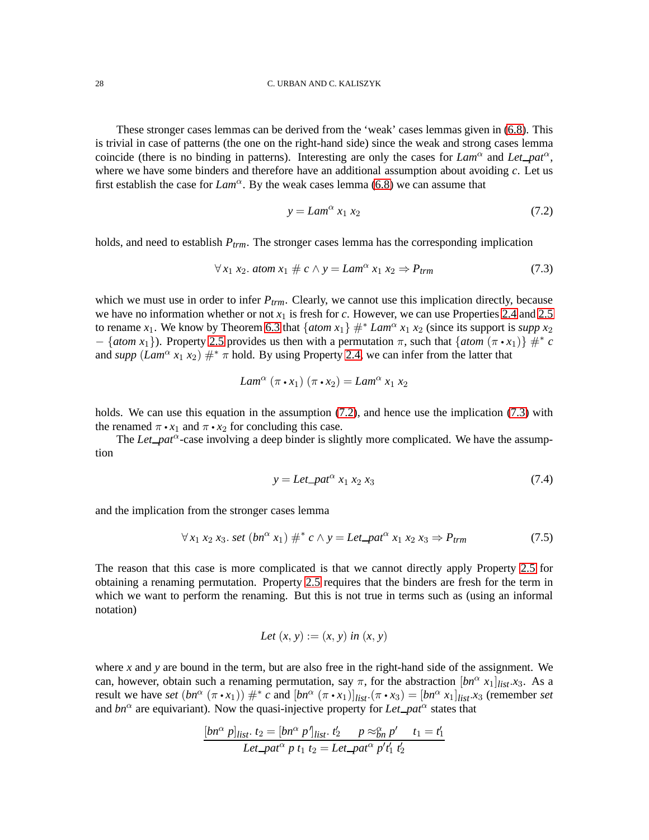These stronger cases lemmas can be derived from the 'weak' cases lemmas given in [\(6.8\)](#page-24-0). This is trivial in case of patterns (the one on the right-hand side) since the weak and strong cases lemma coincide (there is no binding in patterns). Interesting are only the cases for  $Lam^{\alpha}$  and  $Let$  $pat^{\alpha}$ , where we have some binders and therefore have an additional assumption about avoiding *c*. Let us first establish the case for  $Lam^{\alpha}$ . By the weak cases lemma [\(6.8\)](#page-24-0) we can assume that

<span id="page-27-0"></span>
$$
y = Lam^{\alpha} x_1 x_2 \tag{7.2}
$$

holds, and need to establish *Ptrm*. The stronger cases lemma has the corresponding implication

<span id="page-27-1"></span>
$$
\forall x_1 \ x_2. \ atom \ x_1 \ \# \ c \land y = Lam^{\alpha} \ x_1 \ x_2 \Rightarrow P_{trm} \tag{7.3}
$$

which we must use in order to infer *Ptrm*. Clearly, we cannot use this implication directly, because we have no information whether or not  $x_1$  is fresh for *c*. However, we can use Properties [2.4](#page-7-1) and [2.5](#page-7-2) to rename *x*<sub>1</sub>. We know by Theorem [6.3](#page-24-1) that  $\{atom x_1\}$   $#^* Lam^\alpha x_1 x_2$  (since its support is *supp x*<sub>2</sub>  $-$  {*atom x*<sub>1</sub>}). Property [2.5](#page-7-2) provides us then with a permutation  $\pi$ , such that {*atom* ( $\pi \cdot x_1$ )}  $\#^* c$ and *supp*  $(Lam^{\alpha} x_1 x_2) \#^* \pi$  hold. By using Property [2.4,](#page-7-1) we can infer from the latter that

$$
Lam^{\alpha}(\pi \cdot x_1)(\pi \cdot x_2) = Lam^{\alpha} x_1 x_2
$$

holds. We can use this equation in the assumption  $(7.2)$ , and hence use the implication  $(7.3)$  with the renamed  $\pi \cdot x_1$  and  $\pi \cdot x_2$  for concluding this case.

The *Let*  $pat^{\alpha}$ -case involving a deep binder is slightly more complicated. We have the assumption

<span id="page-27-2"></span>
$$
y = Let\_pat^{\alpha} x_1 x_2 x_3 \tag{7.4}
$$

and the implication from the stronger cases lemma

<span id="page-27-3"></span>
$$
\forall x_1 x_2 x_3. \text{ set } (bn^{\alpha} x_1) \#^* c \land y = Let\_pat^{\alpha} x_1 x_2 x_3 \Rightarrow P_{trm}
$$
 (7.5)

The reason that this case is more complicated is that we cannot directly apply Property [2.5](#page-7-2) for obtaining a renaming permutation. Property [2.5](#page-7-2) requires that the binders are fresh for the term in which we want to perform the renaming. But this is not true in terms such as (using an informal notation)

Let 
$$
(x, y) := (x, y)
$$
 in  $(x, y)$ 

where *x* and *y* are bound in the term, but are also free in the right-hand side of the assignment. We can, however, obtain such a renaming permutation, say  $\pi$ , for the abstraction  $[bn^{\alpha} x_1]_{list}.x_3$ . As a result we have *set*  $(bn^{\alpha} (\pi \cdot x_1)) \#^* c$  and  $[bn^{\alpha} (\pi \cdot x_1)]_{list} \cdot (\pi \cdot x_3) = [bn^{\alpha} x_1]_{list} \cdot x_3$  (remember *set* and  $bn^{\alpha}$  are equivariant). Now the quasi-injective property for *Let*  $pat^{\alpha}$  states that

$$
\frac{[bn^{\alpha} p]_{list} \cdot t_2 = [bn^{\alpha} p']_{list} \cdot t_2' \qquad p \approx_{bn}^{\alpha} p' \qquad t_1 = t_1'}{Let\_pat^{\alpha} p t_1 t_2 = Let\_pat^{\alpha} p' t_1' t_2'}
$$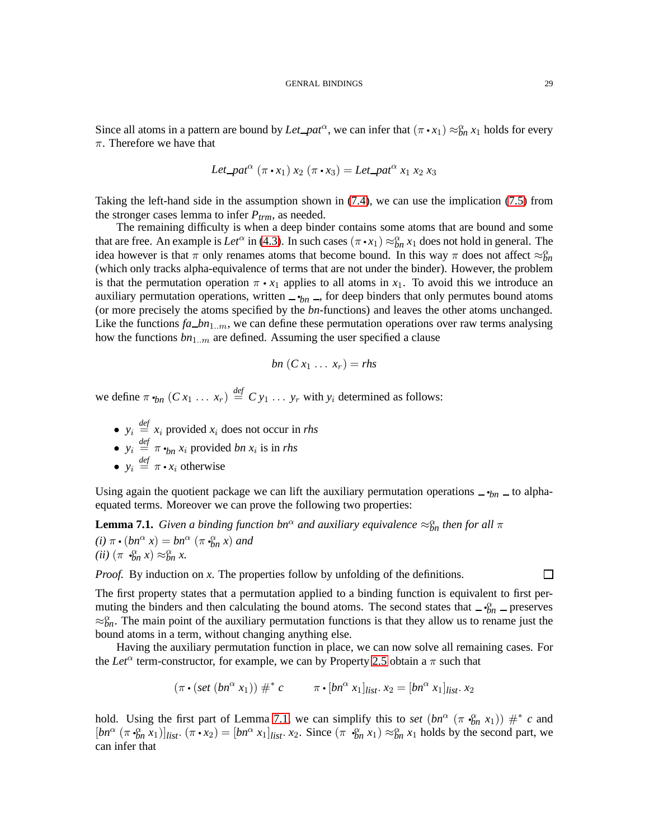Since all atoms in a pattern are bound by  $Let$   $paf^{\alpha}$ , we can infer that  $(\pi \cdot x_1) \approx_{bn}^{\infty} x_1$  holds for every  $\pi$ . Therefore we have that

Let 
$$
\text{pat}^{\alpha}(\pi \cdot x_1) x_2 (\pi \cdot x_3) = \text{Let } \text{pat}^{\alpha} x_1 x_2 x_3
$$

Taking the left-hand side in the assumption shown in [\(7.4\)](#page-27-2), we can use the implication [\(7.5\)](#page-27-3) from the stronger cases lemma to infer *Ptrm*, as needed.

The remaining difficulty is when a deep binder contains some atoms that are bound and some that are free. An example is  $Let^{\alpha}$  in [\(4.3\)](#page-14-1). In such cases  $(\pi \cdot x_1) \approx_{bn}^{\alpha} x_1$  does not hold in general. The idea however is that  $\pi$  only renames atoms that become bound. In this way  $\pi$  does not affect  $\approx_{bn}^{\alpha}$ (which only tracks alpha-equivalence of terms that are not under the binder). However, the problem is that the permutation operation  $\pi \cdot x_1$  applies to all atoms in  $x_1$ . To avoid this we introduce an auxiliary permutation operations, written  $\frac{1}{n}$ , for deep binders that only permutes bound atoms (or more precisely the atoms specified by the *bn*-functions) and leaves the other atoms unchanged. Like the functions  $fa\_bn_{1..m}$ , we can define these permutation operations over raw terms analysing how the functions  $bn_{1..m}$  are defined. Assuming the user specified a clause

$$
bn(C x_1 \ldots x_r) = rhs
$$

we define  $\pi \cdot_{bn} (Cx_1 \ldots x_r) \stackrel{\text{def}}{=} C y_1 \ldots y_r$  with  $y_i$  determined as follows:

- $y_i \stackrel{\text{def}}{=} x_i$  provided  $x_i$  does not occur in *rhs*
- $y_i \stackrel{\text{def}}{=} \pi \cdot_{bn} x_i$  provided *bn*  $x_i$  is in *rhs*
- $y_i \stackrel{\text{def}}{=} \pi \cdot x_i$  otherwise

Using again the quotient package we can lift the auxiliary permutation operations  $\frac{ }{ }$  *bn*  $\frac{ }{ }$  to alphaequated terms. Moreover we can prove the following two properties:

<span id="page-28-0"></span>**Lemma 7.1.** *Given a binding function bn*<sup> $\alpha$ </sup> *and auxiliary equivalence*  $\approx_{bn}^{\alpha}$  *then for all*  $\pi$ 

 $(i)$   $\pi \cdot (bn^{\alpha} x) = bn^{\alpha} (\pi \cdot b n x)$  *and*  $(iii)$   $(\pi \cdot \theta_n^{\alpha} x) \approx \theta_n^{\alpha} x.$ 

*Proof.* By induction on *x*. The properties follow by unfolding of the definitions.

П

The first property states that a permutation applied to a binding function is equivalent to first permuting the binders and then calculating the bound atoms. The second states that  $-\frac{\alpha}{2}n$  preserves  $\approx_{bn}^{\alpha}$ . The main point of the auxiliary permutation functions is that they allow us to rename just the bound atoms in a term, without changing anything else.

Having the auxiliary permutation function in place, we can now solve all remaining cases. For the *Let*<sup> $\alpha$ </sup> term-constructor, for example, we can by Property [2.5](#page-7-2) obtain a  $\pi$  such that

$$
(\pi \cdot (set (bn^{\alpha} x_1)) \#^* c \qquad \pi \cdot [bn^{\alpha} x_1]_{list}. x_2 = [bn^{\alpha} x_1]_{list}. x_2
$$

hold. Using the first part of Lemma [7.1,](#page-28-0) we can simplify this to *set*  $(bn^{\alpha} (\pi \cdot \hat{b}_n x_1)) \#^* c$  and  $[bn^{\alpha}$   $(\pi \cdot \hat{b}_n x_1)]_{list}$ .  $(\pi \cdot x_2) = [bn^{\alpha} x_1]_{list}$ .  $x_2$ . Since  $(\pi \cdot \hat{b}_n x_1) \approx \hat{b}_n x_1$  holds by the second part, we can infer that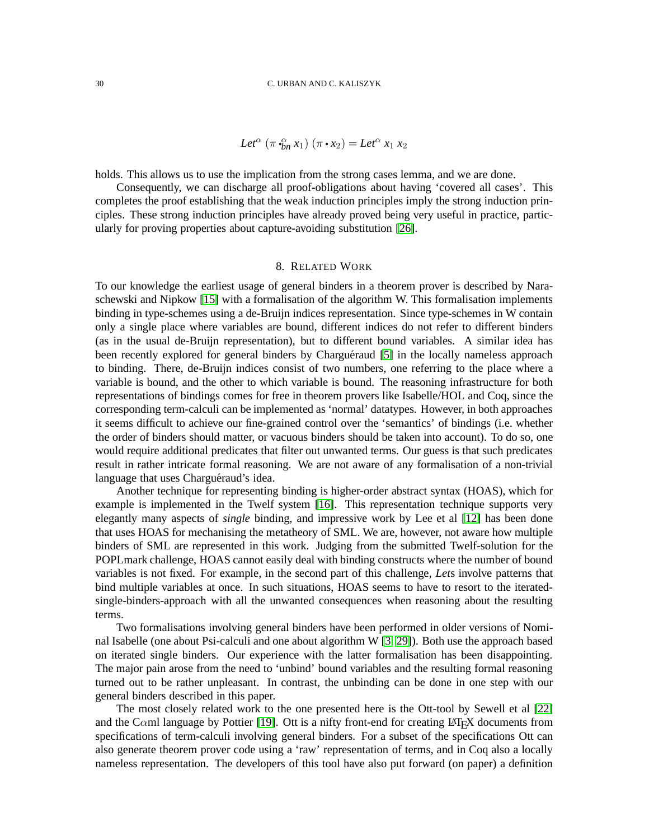$$
Let^{\alpha} (\pi \cdot_{bn}^{\alpha} x_1) (\pi \cdot x_2) = Let^{\alpha} x_1 x_2
$$

holds. This allows us to use the implication from the strong cases lemma, and we are done.

Consequently, we can discharge all proof-obligations about having 'covered all cases'. This completes the proof establishing that the weak induction principles imply the strong induction principles. These strong induction principles have already proved being very useful in practice, particularly for proving properties about capture-avoiding substitution [\[26\]](#page-34-11).

#### 8. RELATED WORK

To our knowledge the earliest usage of general binders in a theorem prover is described by Naraschewski and Nipkow [\[15\]](#page-33-10) with a formalisation of the algorithm W. This formalisation implements binding in type-schemes using a de-Bruijn indices representation. Since type-schemes in W contain only a single place where variables are bound, different indices do not refer to different binders (as in the usual de-Bruijn representation), but to different bound variables. A similar idea has been recently explored for general binders by Charguéraud [\[5\]](#page-33-11) in the locally nameless approach to binding. There, de-Bruijn indices consist of two numbers, one referring to the place where a variable is bound, and the other to which variable is bound. The reasoning infrastructure for both representations of bindings comes for free in theorem provers like Isabelle/HOL and Coq, since the corresponding term-calculi can be implemented as 'normal' datatypes. However, in both approaches it seems difficult to achieve our fine-grained control over the 'semantics' of bindings (i.e. whether the order of binders should matter, or vacuous binders should be taken into account). To do so, one would require additional predicates that filter out unwanted terms. Our guess is that such predicates result in rather intricate formal reasoning. We are not aware of any formalisation of a non-trivial language that uses Charguéraud's idea.

Another technique for representing binding is higher-order abstract syntax (HOAS), which for example is implemented in the Twelf system [\[16\]](#page-33-12). This representation technique supports very elegantly many aspects of *single* binding, and impressive work by Lee et al [\[12\]](#page-33-13) has been done that uses HOAS for mechanising the metatheory of SML. We are, however, not aware how multiple binders of SML are represented in this work. Judging from the submitted Twelf-solution for the POPLmark challenge, HOAS cannot easily deal with binding constructs where the number of bound variables is not fixed. For example, in the second part of this challenge, *Let*s involve patterns that bind multiple variables at once. In such situations, HOAS seems to have to resort to the iteratedsingle-binders-approach with all the unwanted consequences when reasoning about the resulting terms.

Two formalisations involving general binders have been performed in older versions of Nominal Isabelle (one about Psi-calculi and one about algorithm W [\[3,](#page-33-0) [29\]](#page-34-4)). Both use the approach based on iterated single binders. Our experience with the latter formalisation has been disappointing. The major pain arose from the need to 'unbind' bound variables and the resulting formal reasoning turned out to be rather unpleasant. In contrast, the unbinding can be done in one step with our general binders described in this paper.

The most closely related work to the one presented here is the Ott-tool by Sewell et al [\[22\]](#page-34-7) and the C $\alpha$ ml language by Pottier [\[19\]](#page-34-6). Ott is a nifty front-end for creating LAT<sub>EX</sub> documents from specifications of term-calculi involving general binders. For a subset of the specifications Ott can also generate theorem prover code using a 'raw' representation of terms, and in Coq also a locally nameless representation. The developers of this tool have also put forward (on paper) a definition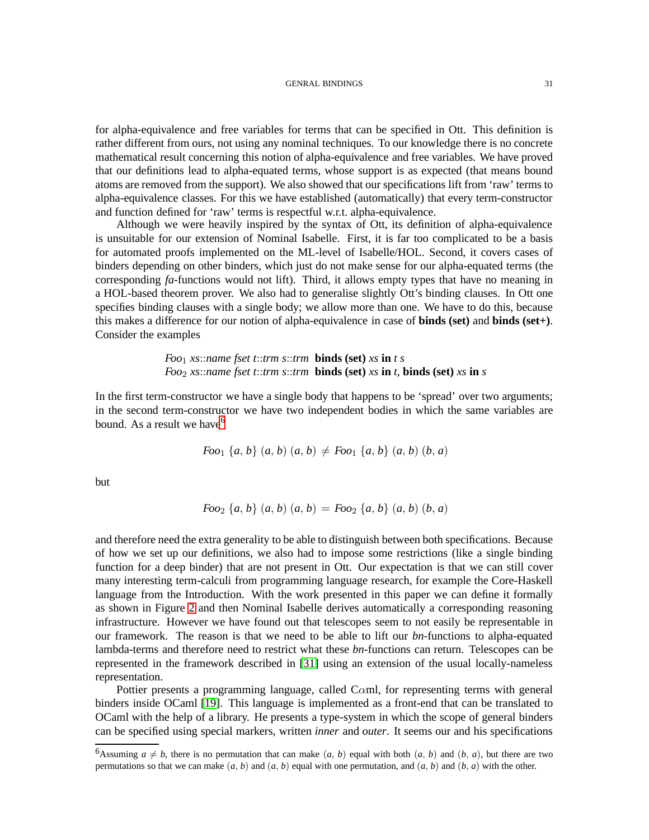#### GENRAL BINDINGS 31

for alpha-equivalence and free variables for terms that can be specified in Ott. This definition is rather different from ours, not using any nominal techniques. To our knowledge there is no concrete mathematical result concerning this notion of alpha-equivalence and free variables. We have proved that our definitions lead to alpha-equated terms, whose support is as expected (that means bound atoms are removed from the support). We also showed that our specifications lift from 'raw' terms to alpha-equivalence classes. For this we have established (automatically) that every term-constructor and function defined for 'raw' terms is respectful w.r.t. alpha-equivalence.

Although we were heavily inspired by the syntax of Ott, its definition of alpha-equivalence is unsuitable for our extension of Nominal Isabelle. First, it is far too complicated to be a basis for automated proofs implemented on the ML-level of Isabelle/HOL. Second, it covers cases of binders depending on other binders, which just do not make sense for our alpha-equated terms (the corresponding *fa*-functions would not lift). Third, it allows empty types that have no meaning in a HOL-based theorem prover. We also had to generalise slightly Ott's binding clauses. In Ott one specifies binding clauses with a single body; we allow more than one. We have to do this, because this makes a difference for our notion of alpha-equivalence in case of **binds (set)** and **binds (set+)**. Consider the examples

> *Foo*1 *xs*::*name fset t*::*trm s*::*trm* **binds (set)** *xs* **in** *t s Foo*2 *xs*::*name fset t*::*trm s*::*trm* **binds (set)** *xs* **in** *t*, **binds (set)** *xs* **in** *s*

In the first term-constructor we have a single body that happens to be 'spread' over two arguments; in the second term-constructor we have two independent bodies in which the same variables are bound. As a result we have  $6<sup>6</sup>$  $6<sup>6</sup>$ 

$$
Foo_1 \{a, b\} (a, b) (a, b) \neq Foo_1 \{a, b\} (a, b) (b, a)
$$

but

$$
Foo_2 \{a, b\} (a, b) (a, b) = Foo_2 \{a, b\} (a, b) (b, a)
$$

and therefore need the extra generality to be able to distinguish between both specifications. Because of how we set up our definitions, we also had to impose some restrictions (like a single binding function for a deep binder) that are not present in Ott. Our expectation is that we can still cover many interesting term-calculi from programming language research, for example the Core-Haskell language from the Introduction. With the work presented in this paper we can define it formally as shown in Figure [2](#page-31-0) and then Nominal Isabelle derives automatically a corresponding reasoning infrastructure. However we have found out that telescopes seem to not easily be representable in our framework. The reason is that we need to be able to lift our *bn*-functions to alpha-equated lambda-terms and therefore need to restrict what these *bn*-functions can return. Telescopes can be represented in the framework described in [\[31\]](#page-34-12) using an extension of the usual locally-nameless representation.

Pottier presents a programming language, called C $\alpha$ ml, for representing terms with general binders inside OCaml [\[19\]](#page-34-6). This language is implemented as a front-end that can be translated to OCaml with the help of a library. He presents a type-system in which the scope of general binders can be specified using special markers, written *inner* and *outer*. It seems our and his specifications

<span id="page-30-0"></span><sup>&</sup>lt;sup>6</sup>Assuming  $a \neq b$ , there is no permutation that can make  $(a, b)$  equal with both  $(a, b)$  and  $(b, a)$ , but there are two permutations so that we can make  $(a, b)$  and  $(a, b)$  equal with one permutation, and  $(a, b)$  and  $(b, a)$  with the other.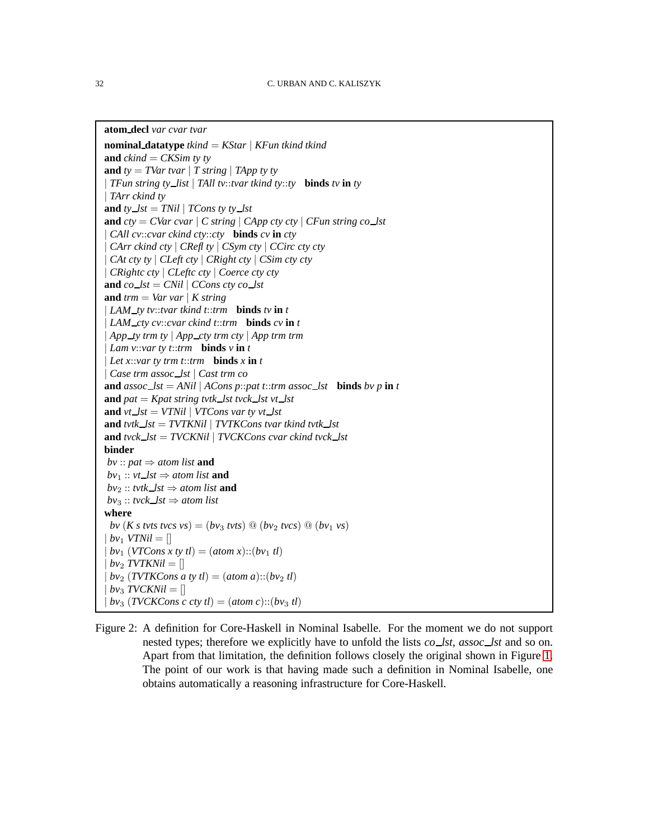```
atom decl var cvar tvar
```

```
nominal datatype tkind = KStar | KFun tkind tkind
and ckind = CKSim ty ty
and ty = TVar tvar | T string | TApp ty ty
| TFun string ty list | TAll tv::tvar tkind ty::ty binds tv in ty
| TArr ckind ty
and ty\_lst = TNil | TCons ty\_lstand cty = CVar cvar | C string | CApp cty cty | CFun string co lst
| CAll cv::cvar ckind cty::cty binds cv in cty
 | CArr ckind cty | CRefl ty | CSym cty | CCirc cty cty
 | CAt cty ty | CLeft cty | CRight cty | CSim cty cty
| CRightc cty | CLeftc cty | Coerce cty cty
and co\_lst = CNil \mid CCons \, cty \, co\_lstand trm = Var var | K string| LAM ty tv::tvar tkind t::trm binds tv in t
| LAM cty cv::cvar ckind t::trm binds cv in t
| App ty trm ty | App cty trm cty | App trm trm
| Lam v::var ty t::trm binds v in t
| Let x::var ty trm t::trm binds x in t
| Case trm assoc lst | Cast trm co
and assoc\_lst = ANil | ACons p::pat t::trm assoc\_lst binds bv p in tand pat = Kpat \, string \, tvtk \, lst \, vck \, lst \, vt \, lstand vt\_{lst} = VTNil | VTCons var ty vt\_{lst}and \text{tvtk}\_lst = \text{TVTKNil} \mid \text{TVTKCons} tvar tkind \text{tvtk}\_st
and tvck lst = TVCKNil | TVCKCons cvar ckind tvck lst
binder
bv :: pat \Rightarrow atom list and
bv_1 :: vt\_\textit{lst} \Rightarrow atom\textit{ list} \textbf{ and}b\nu_2 :: tvtk_lst \Rightarrow atom list and
b\nu_3 :: tvck_lst \Rightarrow atom list
where
 bv (K s tvts tvcs vs) = (bv_3 tvts) \textcircled{a} (bv_2 tvcs) \textcircled{a} (bv_1 vs)
|bv_1 VTNil = ||bv_1 (VTCons x ty t\ell)| = (atom x) :: (bv_1 t\ell)|bv_2 TVTKNil = |bv_2 (TVTKCons a ty tl) = (atom a)::(bv<sub>2</sub> tl)
|bv_3 TVCKNil = |b\nu_3 (TVCKCons c cty tl) = (atom c)::(bv<sub>3</sub> tl)
```
<span id="page-31-0"></span>Figure 2: A definition for Core-Haskell in Nominal Isabelle. For the moment we do not support nested types; therefore we explicitly have to unfold the lists *co lst*, *assoc lst* and so on. Apart from that limitation, the definition follows closely the original shown in Figure [1.](#page-5-0) The point of our work is that having made such a definition in Nominal Isabelle, one obtains automatically a reasoning infrastructure for Core-Haskell.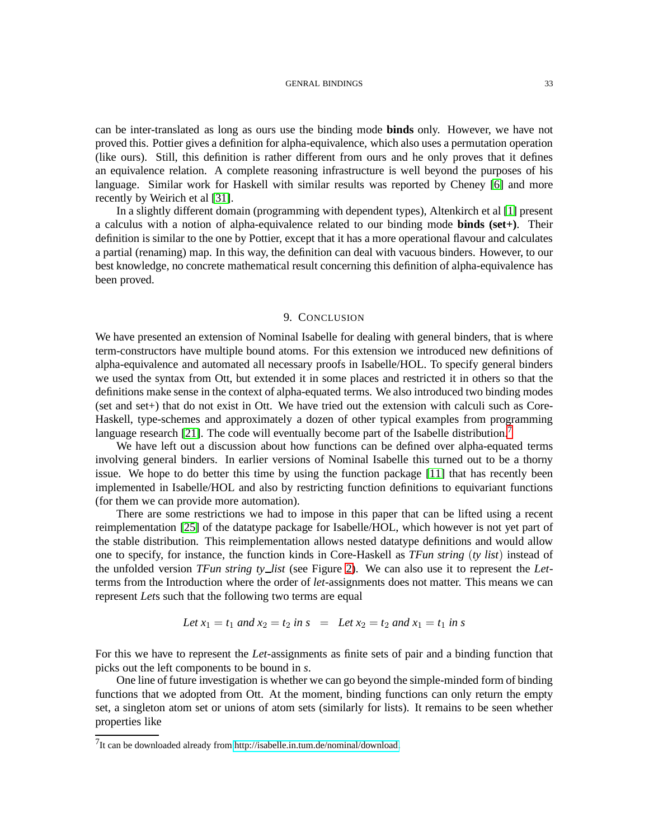#### GENRAL BINDINGS 33

can be inter-translated as long as ours use the binding mode **binds** only. However, we have not proved this. Pottier gives a definition for alpha-equivalence, which also uses a permutation operation (like ours). Still, this definition is rather different from ours and he only proves that it defines an equivalence relation. A complete reasoning infrastructure is well beyond the purposes of his language. Similar work for Haskell with similar results was reported by Cheney [\[6\]](#page-33-14) and more recently by Weirich et al [\[31\]](#page-34-12).

In a slightly different domain (programming with dependent types), Altenkirch et al [\[1\]](#page-33-15) present a calculus with a notion of alpha-equivalence related to our binding mode **binds (set+)**. Their definition is similar to the one by Pottier, except that it has a more operational flavour and calculates a partial (renaming) map. In this way, the definition can deal with vacuous binders. However, to our best knowledge, no concrete mathematical result concerning this definition of alpha-equivalence has been proved.

### 9. CONCLUSION

We have presented an extension of Nominal Isabelle for dealing with general binders, that is where term-constructors have multiple bound atoms. For this extension we introduced new definitions of alpha-equivalence and automated all necessary proofs in Isabelle/HOL. To specify general binders we used the syntax from Ott, but extended it in some places and restricted it in others so that the definitions make sense in the context of alpha-equated terms. We also introduced two binding modes  $(\text{set} \text{ and } \text{set})$  that do not exist in Ott. We have tried out the extension with calculi such as Core-Haskell, type-schemes and approximately a dozen of other typical examples from programming language research [\[21\]](#page-34-13). The code will eventually become part of the Isabelle distribution.<sup>[7](#page-32-0)</sup>

We have left out a discussion about how functions can be defined over alpha-equated terms involving general binders. In earlier versions of Nominal Isabelle this turned out to be a thorny issue. We hope to do better this time by using the function package [\[11\]](#page-33-8) that has recently been implemented in Isabelle/HOL and also by restricting function definitions to equivariant functions (for them we can provide more automation).

There are some restrictions we had to impose in this paper that can be lifted using a recent reimplementation [\[25\]](#page-34-14) of the datatype package for Isabelle/HOL, which however is not yet part of the stable distribution. This reimplementation allows nested datatype definitions and would allow one to specify, for instance, the function kinds in Core-Haskell as *TFun string* (*ty list*) instead of the unfolded version *TFun string ty list* (see Figure [2\)](#page-31-0). We can also use it to represent the *Let*terms from the Introduction where the order of *let*-assignments does not matter. This means we can represent *Let*s such that the following two terms are equal

Let 
$$
x_1 = t_1
$$
 and  $x_2 = t_2$  in  $s = \text{Let } x_2 = t_2$  and  $x_1 = t_1$  in  $s$ 

For this we have to represent the *Let*-assignments as finite sets of pair and a binding function that picks out the left components to be bound in *s*.

One line of future investigation is whether we can go beyond the simple-minded form of binding functions that we adopted from Ott. At the moment, binding functions can only return the empty set, a singleton atom set or unions of atom sets (similarly for lists). It remains to be seen whether properties like

<span id="page-32-0"></span> $^{7}$ It can be downloaded already from [http://isabelle.in.tum.de/nominal/download.](http://isabelle.in.tum.de/nominal/download)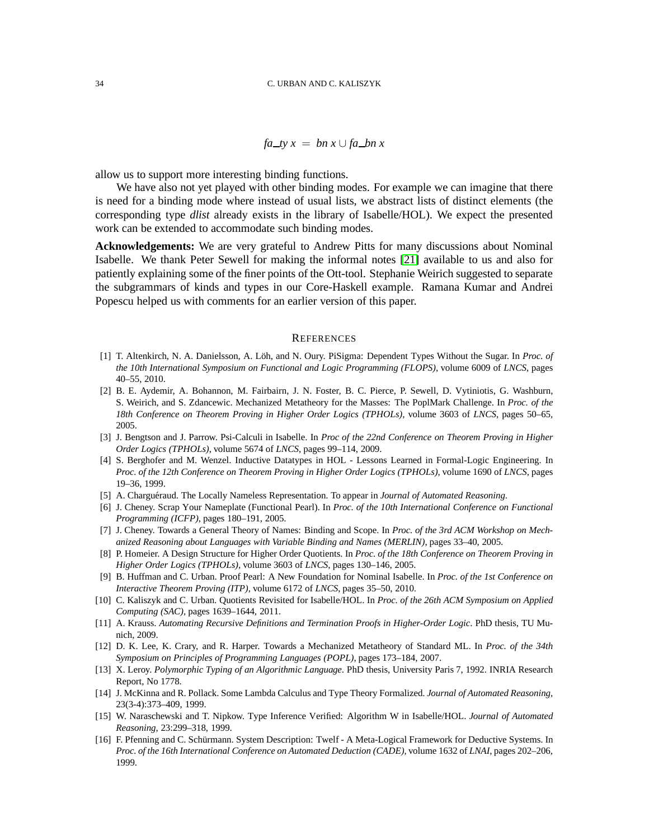$fa_{ty}x = bn x \cup fa_{hx}x$ 

allow us to support more interesting binding functions.

We have also not yet played with other binding modes. For example we can imagine that there is need for a binding mode where instead of usual lists, we abstract lists of distinct elements (the corresponding type *dlist* already exists in the library of Isabelle/HOL). We expect the presented work can be extended to accommodate such binding modes.

**Acknowledgements:** We are very grateful to Andrew Pitts for many discussions about Nominal Isabelle. We thank Peter Sewell for making the informal notes [\[21\]](#page-34-13) available to us and also for patiently explaining some of the finer points of the Ott-tool. Stephanie Weirich suggested to separate the subgrammars of kinds and types in our Core-Haskell example. Ramana Kumar and Andrei Popescu helped us with comments for an earlier version of this paper.

#### **REFERENCES**

- <span id="page-33-15"></span>[1] T. Altenkirch, N. A. Danielsson, A. Löh, and N. Oury. PiSigma: Dependent Types Without the Sugar. In *Proc. of the 10th International Symposium on Functional and Logic Programming (FLOPS)*, volume 6009 of *LNCS*, pages 40–55, 2010.
- <span id="page-33-1"></span>[2] B. E. Aydemir, A. Bohannon, M. Fairbairn, J. N. Foster, B. C. Pierce, P. Sewell, D. Vytiniotis, G. Washburn, S. Weirich, and S. Zdancewic. Mechanized Metatheory for the Masses: The PoplMark Challenge. In *Proc. of the 18th Conference on Theorem Proving in Higher Order Logics (TPHOLs)*, volume 3603 of *LNCS*, pages 50–65, 2005.
- <span id="page-33-0"></span>[3] J. Bengtson and J. Parrow. Psi-Calculi in Isabelle. In *Proc of the 22nd Conference on Theorem Proving in Higher Order Logics (TPHOLs)*, volume 5674 of *LNCS*, pages 99–114, 2009.
- <span id="page-33-4"></span>[4] S. Berghofer and M. Wenzel. Inductive Datatypes in HOL - Lessons Learned in Formal-Logic Engineering. In *Proc. of the 12th Conference on Theorem Proving in Higher Order Logics (TPHOLs)*, volume 1690 of *LNCS*, pages 19–36, 1999.
- <span id="page-33-14"></span><span id="page-33-11"></span>[5] A. Charguéraud. The Locally Nameless Representation. To appear in *Journal of Automated Reasoning*.
- [6] J. Cheney. Scrap Your Nameplate (Functional Pearl). In *Proc. of the 10th International Conference on Functional Programming (ICFP)*, pages 180–191, 2005.
- <span id="page-33-3"></span>[7] J. Cheney. Towards a General Theory of Names: Binding and Scope. In *Proc. of the 3rd ACM Workshop on Mechanized Reasoning about Languages with Variable Binding and Names (MERLIN)*, pages 33–40, 2005.
- <span id="page-33-7"></span>[8] P. Homeier. A Design Structure for Higher Order Quotients. In *Proc. of the 18th Conference on Theorem Proving in Higher Order Logics (TPHOLs)*, volume 3603 of *LNCS*, pages 130–146, 2005.
- <span id="page-33-9"></span>[9] B. Huffman and C. Urban. Proof Pearl: A New Foundation for Nominal Isabelle. In *Proc. of the 1st Conference on Interactive Theorem Proving (ITP)*, volume 6172 of *LNCS*, pages 35–50, 2010.
- <span id="page-33-6"></span>[10] C. Kaliszyk and C. Urban. Quotients Revisited for Isabelle/HOL. In *Proc. of the 26th ACM Symposium on Applied Computing (SAC)*, pages 1639–1644, 2011.
- <span id="page-33-8"></span>[11] A. Krauss. *Automating Recursive Definitions and Termination Proofs in Higher-Order Logic*. PhD thesis, TU Munich, 2009.
- <span id="page-33-13"></span>[12] D. K. Lee, K. Crary, and R. Harper. Towards a Mechanized Metatheory of Standard ML. In *Proc. of the 34th Symposium on Principles of Programming Languages (POPL)*, pages 173–184, 2007.
- <span id="page-33-2"></span>[13] X. Leroy. *Polymorphic Typing of an Algorithmic Language*. PhD thesis, University Paris 7, 1992. INRIA Research Report, No 1778.
- <span id="page-33-5"></span>[14] J. McKinna and R. Pollack. Some Lambda Calculus and Type Theory Formalized. *Journal of Automated Reasoning*, 23(3-4):373–409, 1999.
- <span id="page-33-10"></span>[15] W. Naraschewski and T. Nipkow. Type Inference Verified: Algorithm W in Isabelle/HOL. *Journal of Automated Reasoning*, 23:299–318, 1999.
- <span id="page-33-12"></span>[16] F. Pfenning and C. Schürmann. System Description: Twelf - A Meta-Logical Framework for Deductive Systems. In *Proc. of the 16th International Conference on Automated Deduction (CADE)*, volume 1632 of *LNAI*, pages 202–206, 1999.